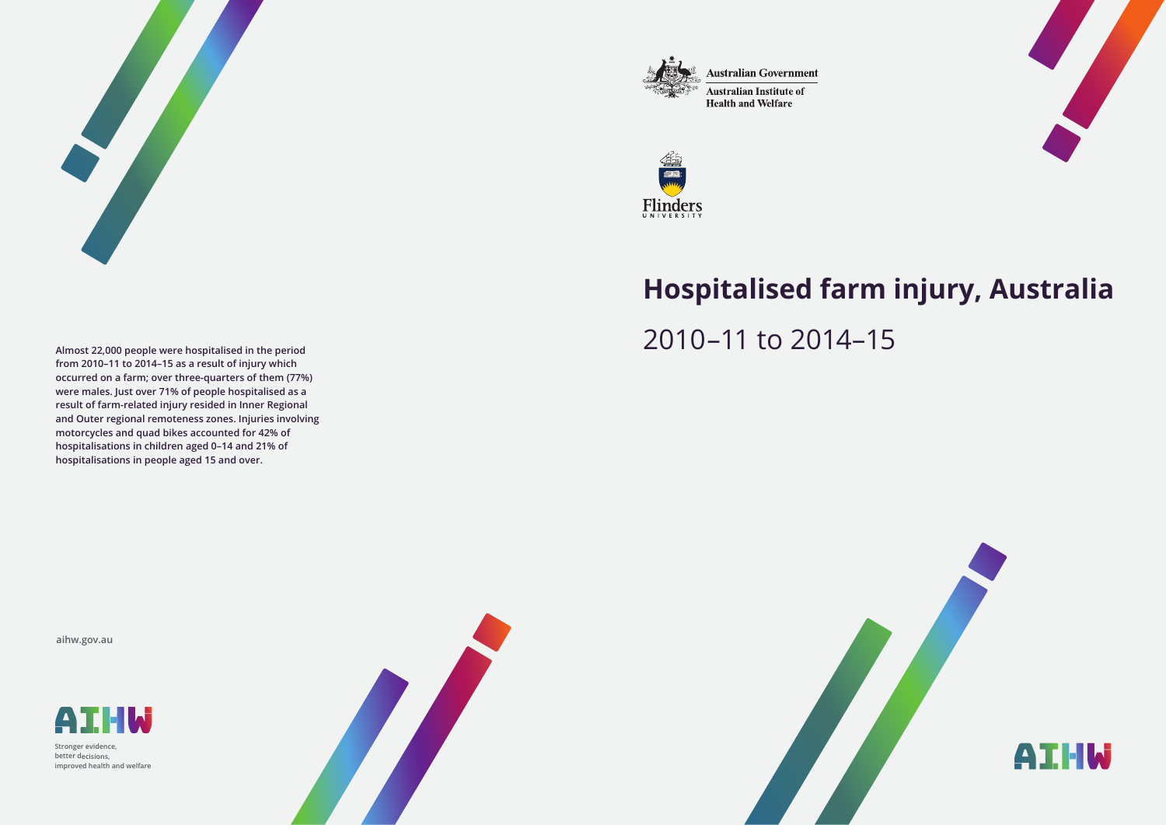

**Australian Government** 

**Australian Institute of Health and Welfare** 





# **Hospitalised farm injury, Australia** 2010–11 to 2014–15

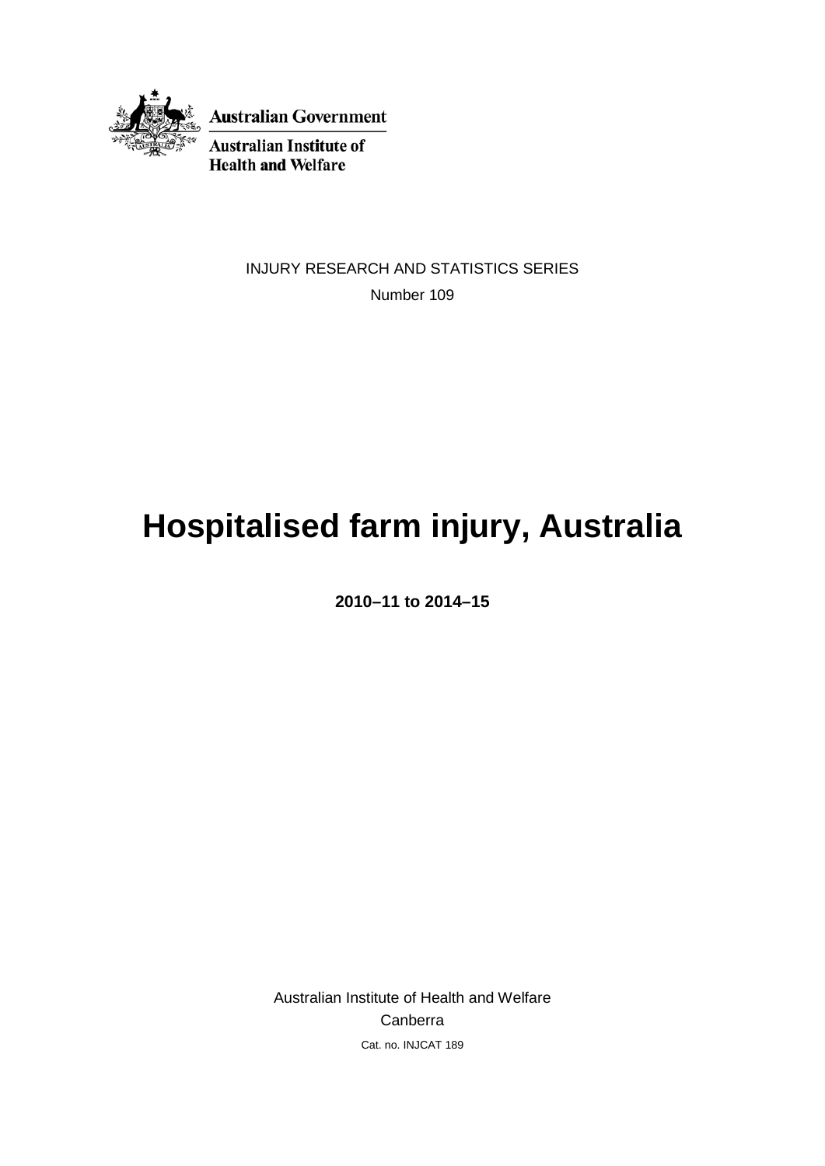

**Australian Government** 

**Australian Institute of Health and Welfare** 

> INJURY RESEARCH AND STATISTICS SERIES Number 109

# **Hospitalised farm injury, Australia**

**2010–11 to 2014–15**

Australian Institute of Health and Welfare Canberra Cat. no. INJCAT 189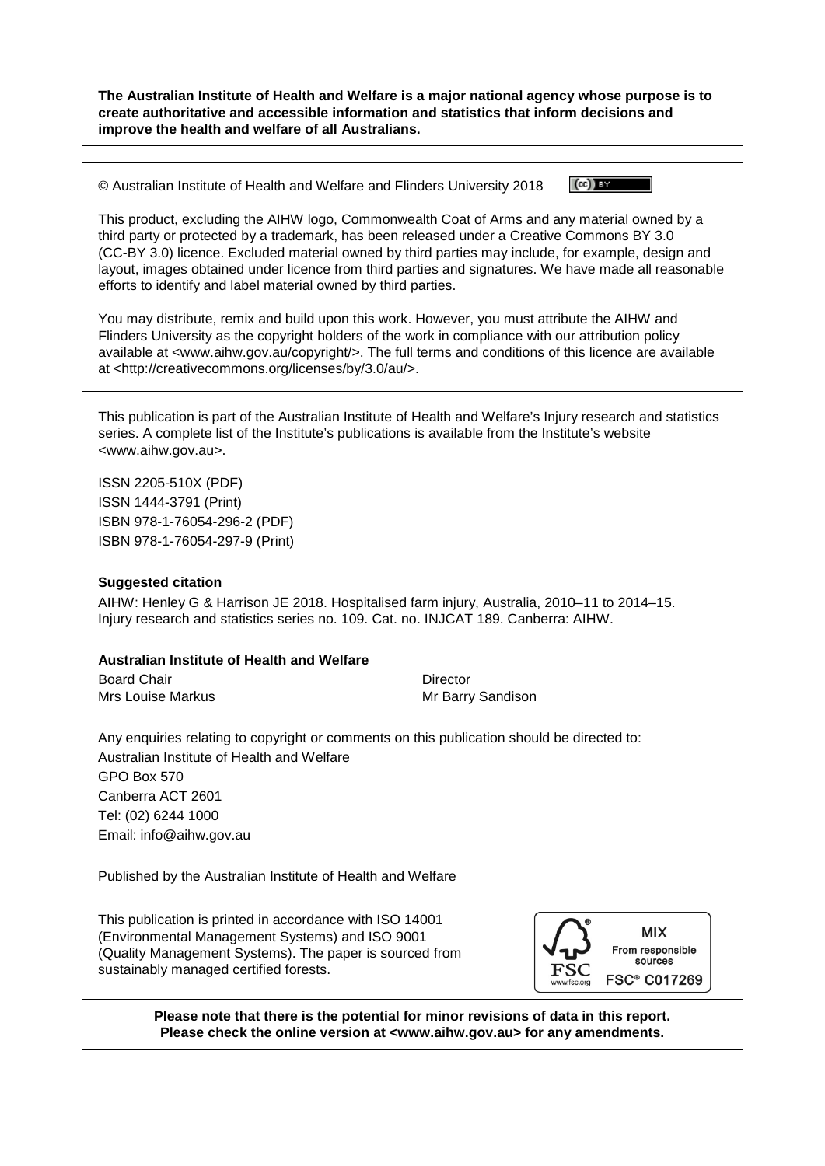**The Australian Institute of Health and Welfare is a major national agency whose purpose is to create authoritative and accessible information and statistics that inform decisions and improve the health and welfare of all Australians.**

© Australian Institute of Health and Welfare and Flinders University 2018



This product, excluding the AIHW logo, Commonwealth Coat of Arms and any material owned by a third party or protected by a trademark, has been released under a Creative Commons BY 3.0 (CC-BY 3.0) licence. Excluded material owned by third parties may include, for example, design and layout, images obtained under licence from third parties and signatures. We have made all reasonable efforts to identify and label material owned by third parties.

You may distribute, remix and build upon this work. However, you must attribute the AIHW and Flinders University as the copyright holders of the work in compliance with our attribution policy available at <www.aihw.gov.au/copyright/>. The full terms and conditions of this licence are available at <http://creativecommons.org/licenses/by/3.0/au/>.

This publication is part of the Australian Institute of Health and Welfare's Injury research and statistics series. A complete list of the Institute's publications is available from the Institute's website <www.aihw.gov.au>.

ISSN 2205-510X (PDF) ISSN 1444-3791 (Print) ISBN 978-1-76054-296-2 (PDF) ISBN 978-1-76054-297-9 (Print)

#### **Suggested citation**

AIHW: Henley G & Harrison JE 2018. Hospitalised farm injury, Australia, 2010–11 to 2014–15. Injury research and statistics series no. 109. Cat. no. INJCAT 189. Canberra: AIHW.

#### **Australian Institute of Health and Welfare**

Board Chair **Director** Director Mrs Louise Markus **Mrs** Annual Mr Barry Sandison

Any enquiries relating to copyright or comments on this publication should be directed to: Australian Institute of Health and Welfare GPO Box 570 Canberra ACT 2601 Tel: (02) 6244 1000 Email: info@aihw.gov.au

Published by the Australian Institute of Health and Welfare

This publication is printed in accordance with ISO 14001 (Environmental Management Systems) and ISO 9001 (Quality Management Systems). The paper is sourced from sustainably managed certified forests.



**Please note that there is the potential for minor revisions of data in this report. Please check the online version at <www.aihw.gov.au> for any amendments.**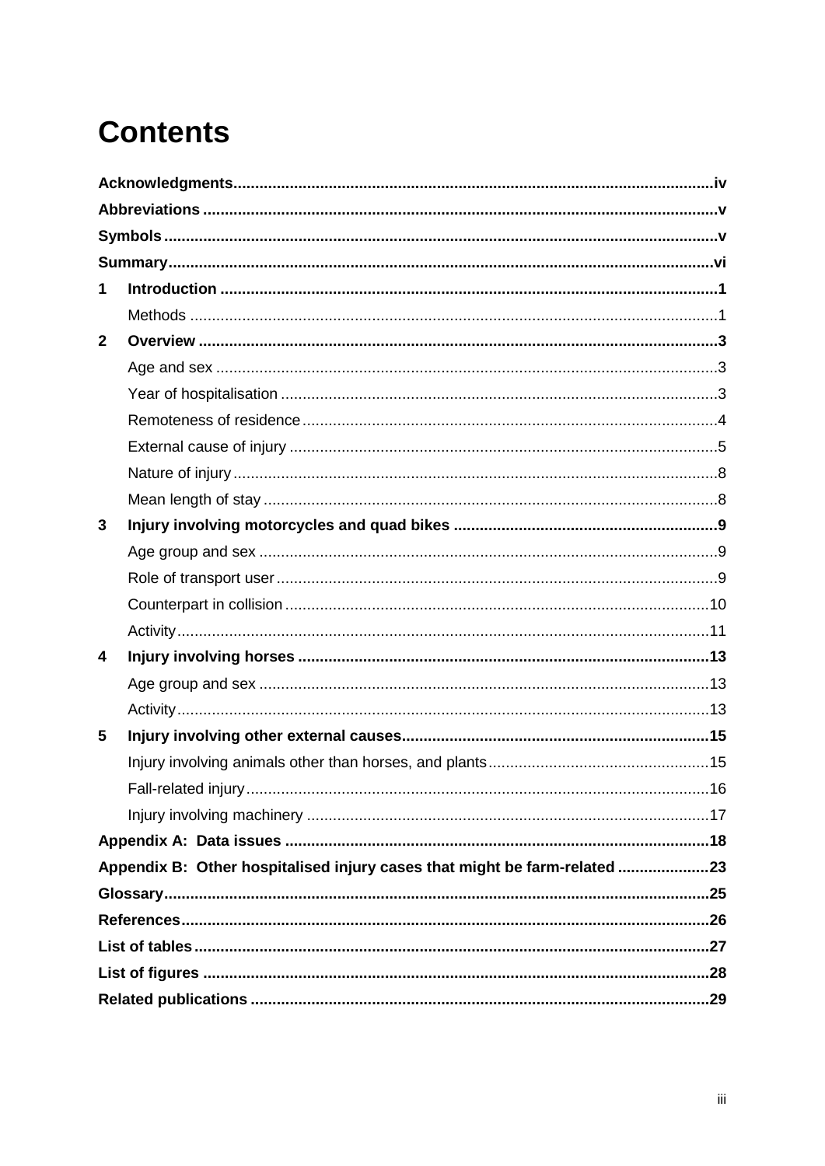# **Contents**

| 1            |                                                                           |  |
|--------------|---------------------------------------------------------------------------|--|
|              |                                                                           |  |
| $\mathbf{2}$ |                                                                           |  |
|              |                                                                           |  |
|              |                                                                           |  |
|              |                                                                           |  |
|              |                                                                           |  |
|              |                                                                           |  |
|              |                                                                           |  |
| 3            |                                                                           |  |
|              |                                                                           |  |
|              |                                                                           |  |
|              |                                                                           |  |
|              |                                                                           |  |
| 4            |                                                                           |  |
|              |                                                                           |  |
|              |                                                                           |  |
| 5            |                                                                           |  |
|              |                                                                           |  |
|              |                                                                           |  |
|              |                                                                           |  |
|              |                                                                           |  |
|              | Appendix B: Other hospitalised injury cases that might be farm-related 23 |  |
|              |                                                                           |  |
|              |                                                                           |  |
|              |                                                                           |  |
|              |                                                                           |  |
|              |                                                                           |  |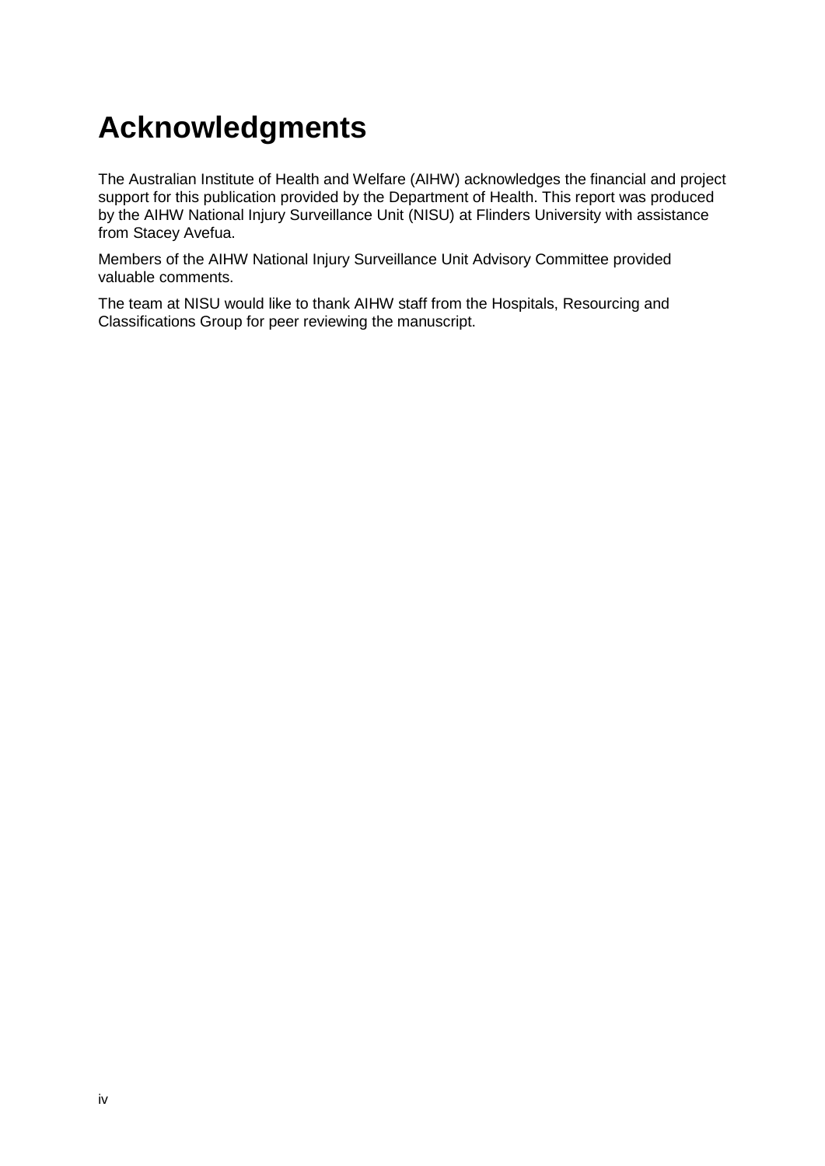# <span id="page-5-0"></span>**Acknowledgments**

The Australian Institute of Health and Welfare (AIHW) acknowledges the financial and project support for this publication provided by the Department of Health. This report was produced by the AIHW National Injury Surveillance Unit (NISU) at Flinders University with assistance from Stacey Avefua.

Members of the AIHW National Injury Surveillance Unit Advisory Committee provided valuable comments.

The team at NISU would like to thank AIHW staff from the Hospitals, Resourcing and Classifications Group for peer reviewing the manuscript.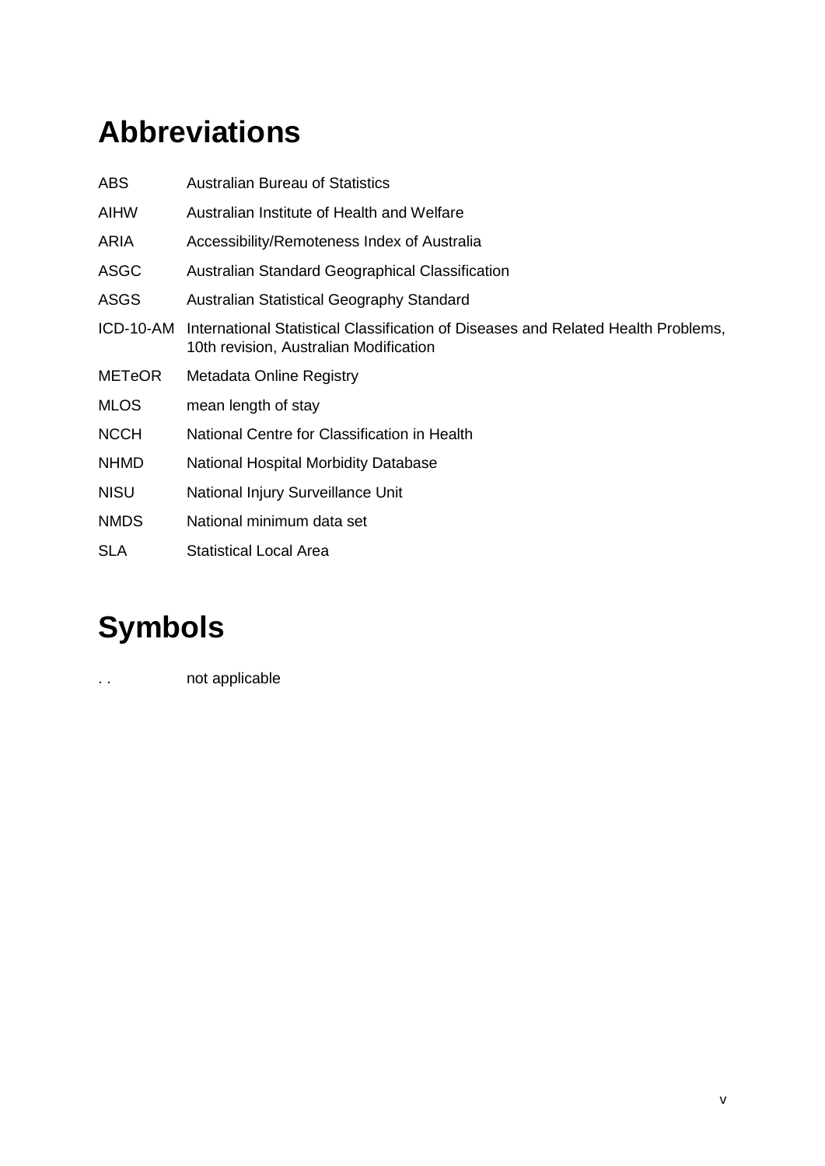# <span id="page-6-0"></span>**Abbreviations**

| <b>ABS</b>    | <b>Australian Bureau of Statistics</b>                                                                                      |
|---------------|-----------------------------------------------------------------------------------------------------------------------------|
| AIHW          | Australian Institute of Health and Welfare                                                                                  |
| ARIA          | Accessibility/Remoteness Index of Australia                                                                                 |
| <b>ASGC</b>   | Australian Standard Geographical Classification                                                                             |
| <b>ASGS</b>   | Australian Statistical Geography Standard                                                                                   |
| ICD-10-AM     | International Statistical Classification of Diseases and Related Health Problems,<br>10th revision, Australian Modification |
| <b>METeOR</b> | Metadata Online Registry                                                                                                    |
| <b>MLOS</b>   | mean length of stay                                                                                                         |
| <b>NCCH</b>   | National Centre for Classification in Health                                                                                |
| <b>NHMD</b>   | National Hospital Morbidity Database                                                                                        |
| <b>NISU</b>   | National Injury Surveillance Unit                                                                                           |
| <b>NMDS</b>   | National minimum data set                                                                                                   |
| <b>SLA</b>    | <b>Statistical Local Area</b>                                                                                               |

# <span id="page-6-1"></span>**Symbols**

.. **not applicable**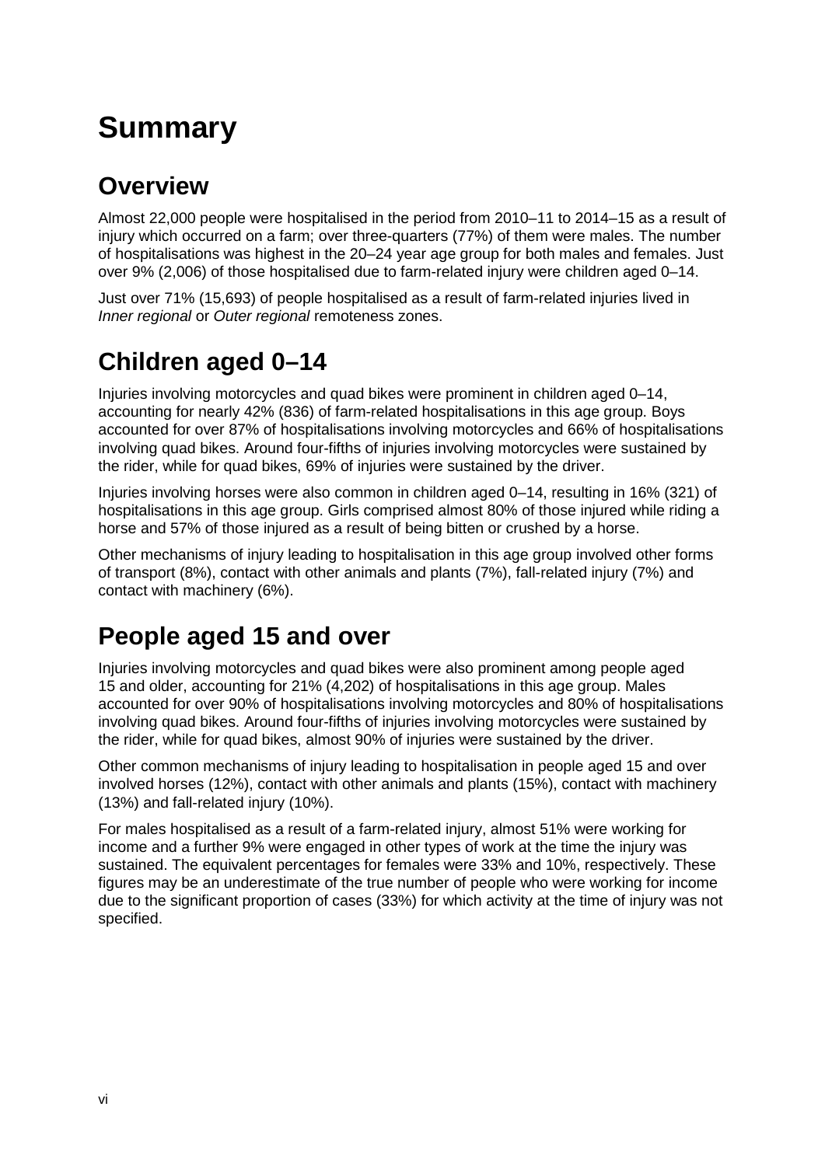# <span id="page-7-0"></span>**Summary**

### **Overview**

Almost 22,000 people were hospitalised in the period from 2010–11 to 2014–15 as a result of injury which occurred on a farm; over three-quarters (77%) of them were males. The number of hospitalisations was highest in the 20–24 year age group for both males and females. Just over 9% (2,006) of those hospitalised due to farm-related injury were children aged 0–14.

Just over 71% (15,693) of people hospitalised as a result of farm-related injuries lived in *Inner regional* or *Outer regional* remoteness zones.

### **Children aged 0–14**

Injuries involving motorcycles and quad bikes were prominent in children aged 0–14, accounting for nearly 42% (836) of farm-related hospitalisations in this age group. Boys accounted for over 87% of hospitalisations involving motorcycles and 66% of hospitalisations involving quad bikes. Around four-fifths of injuries involving motorcycles were sustained by the rider, while for quad bikes, 69% of injuries were sustained by the driver.

Injuries involving horses were also common in children aged 0–14, resulting in 16% (321) of hospitalisations in this age group. Girls comprised almost 80% of those injured while riding a horse and 57% of those injured as a result of being bitten or crushed by a horse.

Other mechanisms of injury leading to hospitalisation in this age group involved other forms of transport (8%), contact with other animals and plants (7%), fall-related injury (7%) and contact with machinery (6%).

### **People aged 15 and over**

Injuries involving motorcycles and quad bikes were also prominent among people aged 15 and older, accounting for 21% (4,202) of hospitalisations in this age group. Males accounted for over 90% of hospitalisations involving motorcycles and 80% of hospitalisations involving quad bikes. Around four-fifths of injuries involving motorcycles were sustained by the rider, while for quad bikes, almost 90% of injuries were sustained by the driver.

Other common mechanisms of injury leading to hospitalisation in people aged 15 and over involved horses (12%), contact with other animals and plants (15%), contact with machinery (13%) and fall-related injury (10%).

For males hospitalised as a result of a farm-related injury, almost 51% were working for income and a further 9% were engaged in other types of work at the time the injury was sustained. The equivalent percentages for females were 33% and 10%, respectively. These figures may be an underestimate of the true number of people who were working for income due to the significant proportion of cases (33%) for which activity at the time of injury was not specified.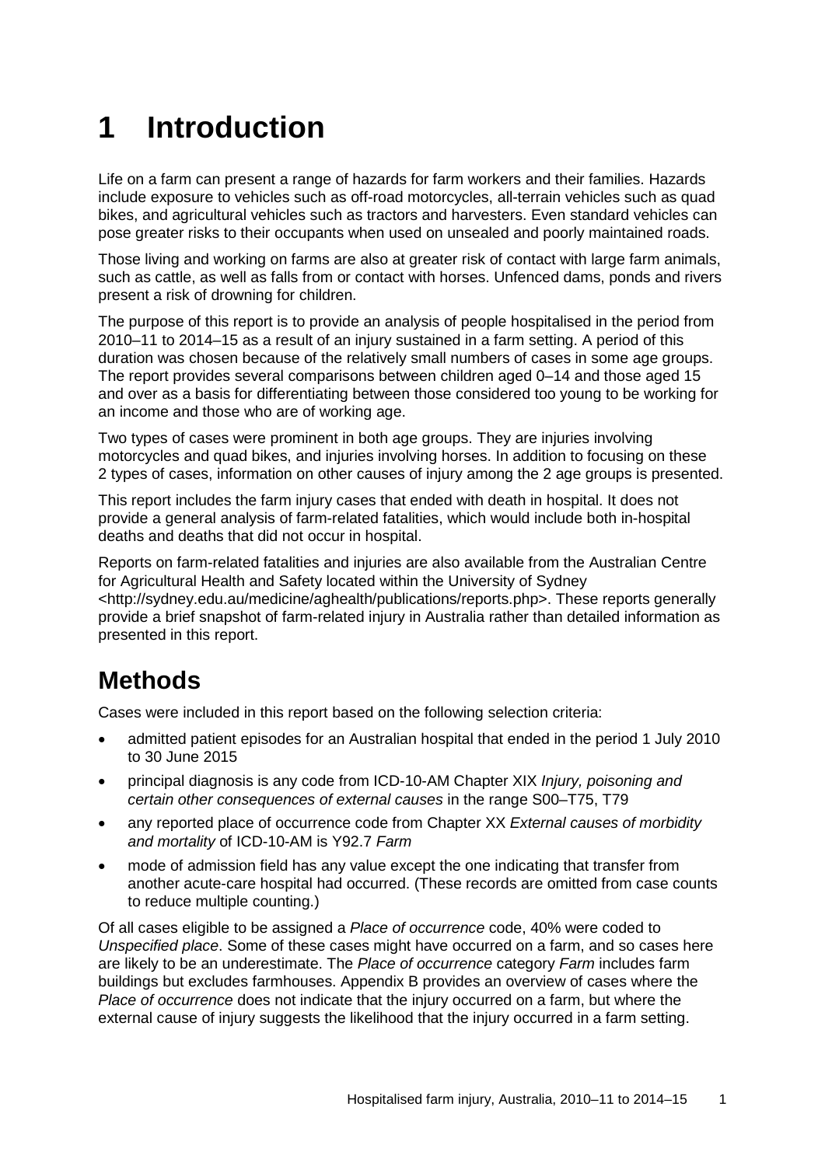# <span id="page-8-0"></span>**1 Introduction**

Life on a farm can present a range of hazards for farm workers and their families. Hazards include exposure to vehicles such as off-road motorcycles, all-terrain vehicles such as quad bikes, and agricultural vehicles such as tractors and harvesters. Even standard vehicles can pose greater risks to their occupants when used on unsealed and poorly maintained roads.

Those living and working on farms are also at greater risk of contact with large farm animals, such as cattle, as well as falls from or contact with horses. Unfenced dams, ponds and rivers present a risk of drowning for children.

The purpose of this report is to provide an analysis of people hospitalised in the period from 2010–11 to 2014–15 as a result of an injury sustained in a farm setting. A period of this duration was chosen because of the relatively small numbers of cases in some age groups. The report provides several comparisons between children aged 0–14 and those aged 15 and over as a basis for differentiating between those considered too young to be working for an income and those who are of working age.

Two types of cases were prominent in both age groups. They are injuries involving motorcycles and quad bikes, and injuries involving horses. In addition to focusing on these 2 types of cases, information on other causes of injury among the 2 age groups is presented.

This report includes the farm injury cases that ended with death in hospital. It does not provide a general analysis of farm-related fatalities, which would include both in-hospital deaths and deaths that did not occur in hospital.

Reports on farm-related fatalities and injuries are also available from the Australian Centre for Agricultural Health and Safety located within the University of Sydney [<http://sydney.edu.au/medicine/aghealth/publications/reports.php>](http://sydney.edu.au/medicine/aghealth/publications/reports.php). These reports generally provide a brief snapshot of farm-related injury in Australia rather than detailed information as presented in this report.

### <span id="page-8-1"></span>**Methods**

Cases were included in this report based on the following selection criteria:

- admitted patient episodes for an Australian hospital that ended in the period 1 July 2010 to 30 June 2015
- principal diagnosis is any code from ICD-10-AM Chapter XIX *Injury, poisoning and certain other consequences of external causes* in the range S00–T75, T79
- any reported place of occurrence code from Chapter XX *External causes of morbidity and mortality* of ICD-10-AM is Y92.7 *Farm*
- mode of admission field has any value except the one indicating that transfer from another acute-care hospital had occurred. (These records are omitted from case counts to reduce multiple counting.)

Of all cases eligible to be assigned a *Place of occurrence* code, 40% were coded to *Unspecified place*. Some of these cases might have occurred on a farm, and so cases here are likely to be an underestimate. The *Place of occurrence* category *Farm* includes farm buildings but excludes farmhouses. Appendix B provides an overview of cases where the *Place of occurrence* does not indicate that the injury occurred on a farm, but where the external cause of injury suggests the likelihood that the injury occurred in a farm setting.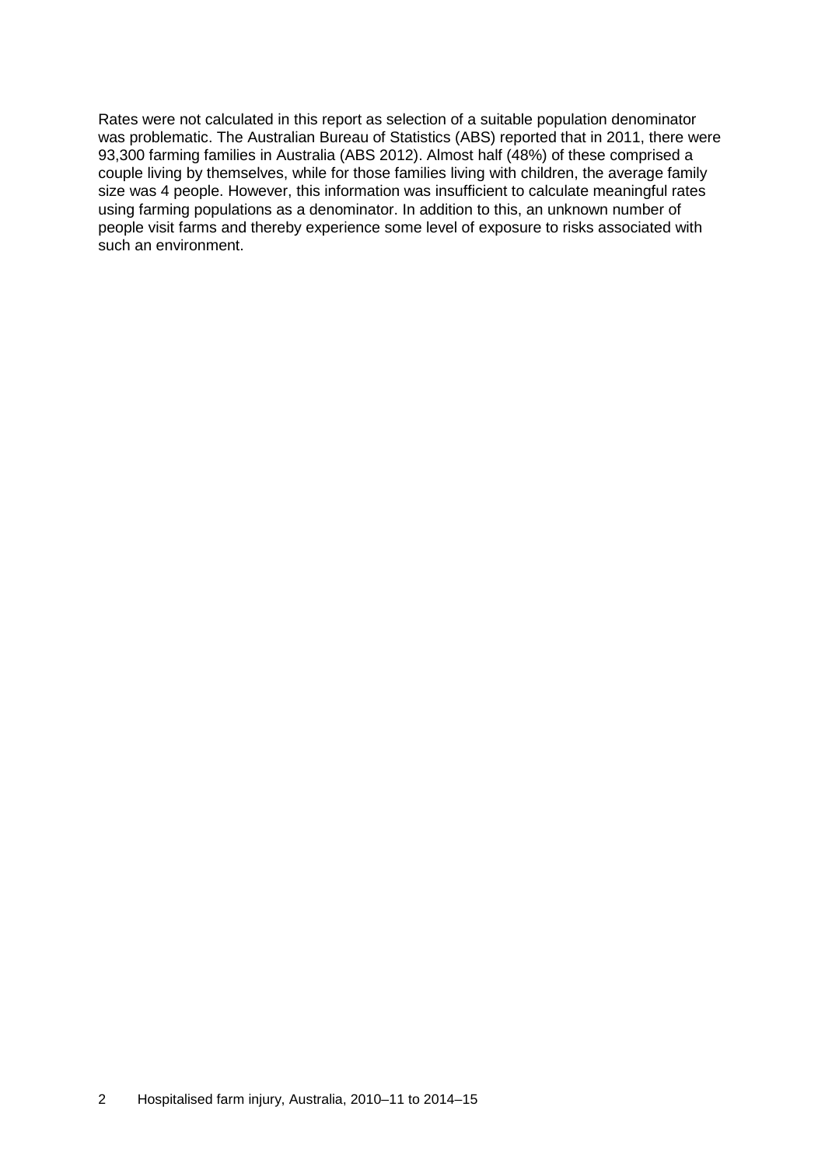Rates were not calculated in this report as selection of a suitable population denominator was problematic. The Australian Bureau of Statistics (ABS) reported that in 2011, there were 93,300 farming families in Australia (ABS 2012). Almost half (48%) of these comprised a couple living by themselves, while for those families living with children, the average family size was 4 people. However, this information was insufficient to calculate meaningful rates using farming populations as a denominator. In addition to this, an unknown number of people visit farms and thereby experience some level of exposure to risks associated with such an environment.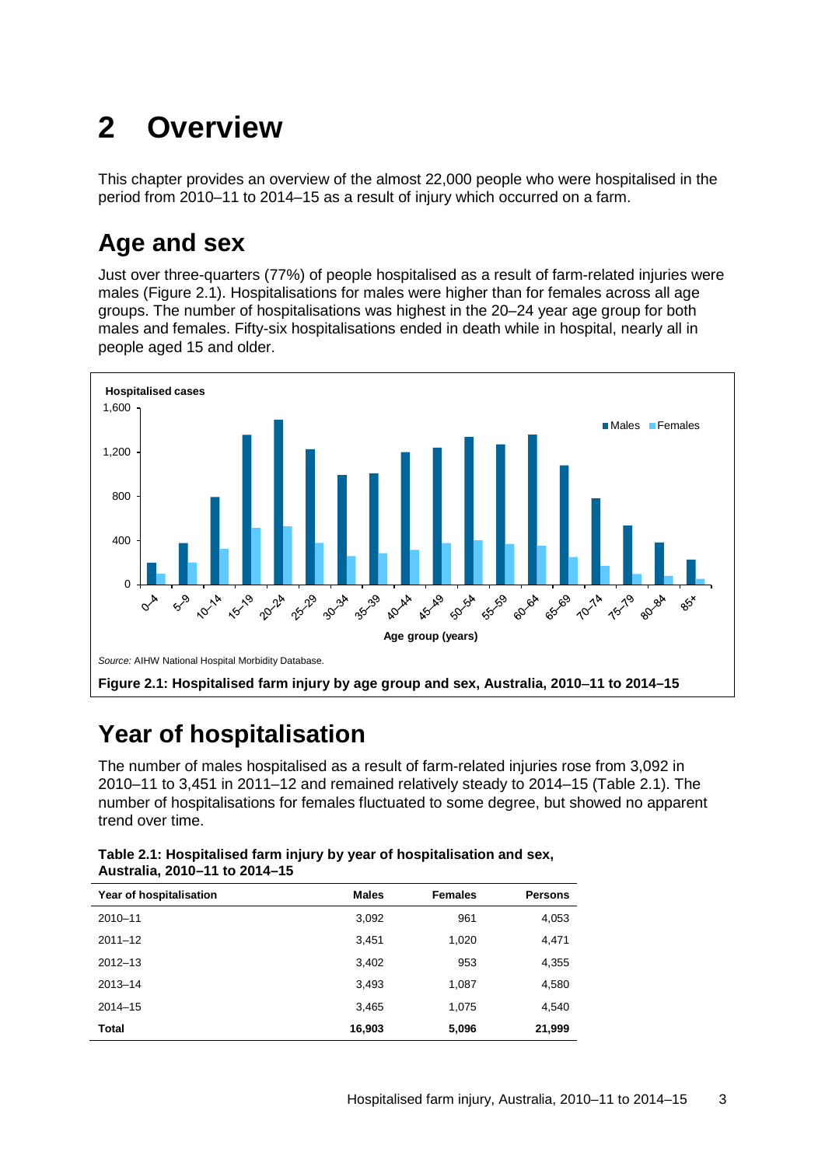# <span id="page-10-0"></span>**2 Overview**

This chapter provides an overview of the almost 22,000 people who were hospitalised in the period from 2010–11 to 2014–15 as a result of injury which occurred on a farm.

### <span id="page-10-1"></span>**Age and sex**

Just over three-quarters (77%) of people hospitalised as a result of farm-related injuries were males (Figure 2.1). Hospitalisations for males were higher than for females across all age groups. The number of hospitalisations was highest in the 20–24 year age group for both males and females. Fifty-six hospitalisations ended in death while in hospital, nearly all in people aged 15 and older.



### <span id="page-10-4"></span><span id="page-10-2"></span>**Year of hospitalisation**

The number of males hospitalised as a result of farm-related injuries rose from 3,092 in 2010–11 to 3,451 in 2011–12 and remained relatively steady to 2014–15 (Table 2.1). The number of hospitalisations for females fluctuated to some degree, but showed no apparent trend over time.

<span id="page-10-3"></span>

| Table 2.1: Hospitalised farm injury by year of hospitalisation and sex, |
|-------------------------------------------------------------------------|
| Australia, 2010-11 to 2014-15                                           |

| Year of hospitalisation | <b>Males</b> | <b>Females</b> | <b>Persons</b> |
|-------------------------|--------------|----------------|----------------|
| $2010 - 11$             | 3,092        | 961            | 4,053          |
| $2011 - 12$             | 3,451        | 1,020          | 4,471          |
| $2012 - 13$             | 3,402        | 953            | 4,355          |
| $2013 - 14$             | 3,493        | 1,087          | 4,580          |
| $2014 - 15$             | 3,465        | 1,075          | 4,540          |
| <b>Total</b>            | 16,903       | 5,096          | 21,999         |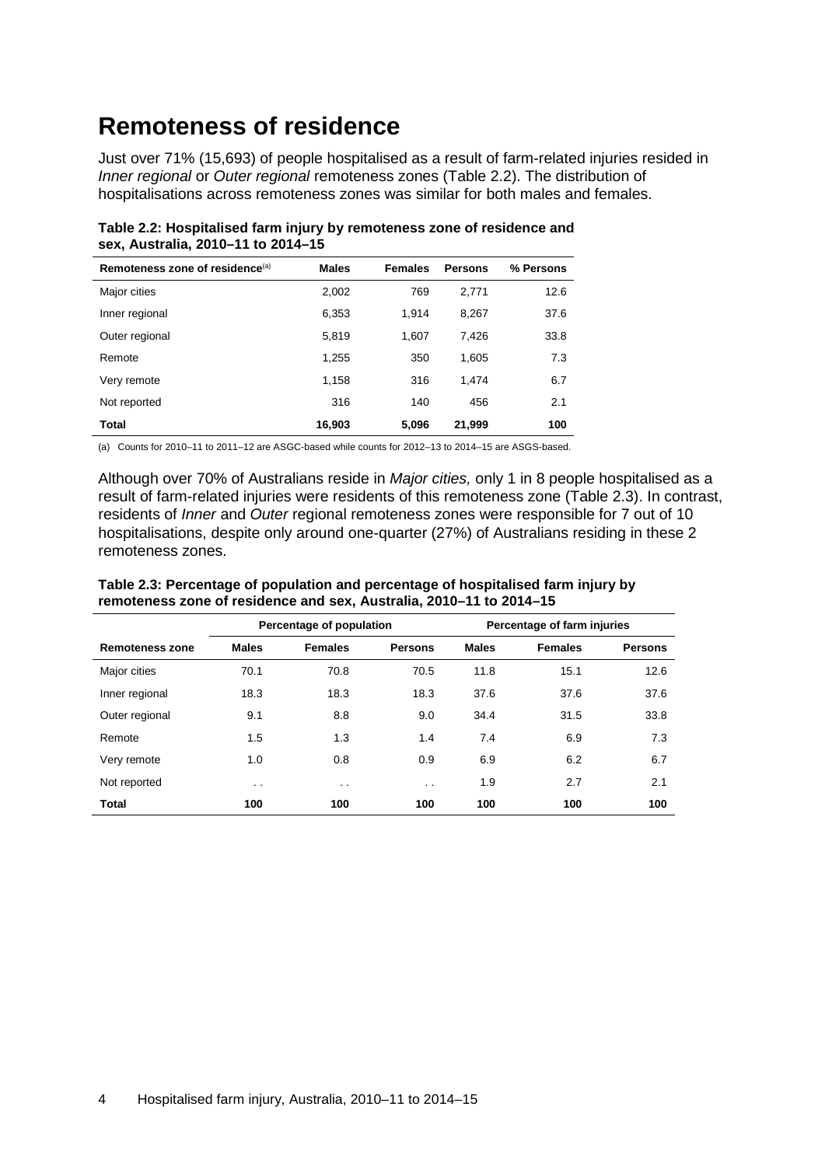### <span id="page-11-0"></span>**Remoteness of residence**

Just over 71% (15,693) of people hospitalised as a result of farm-related injuries resided in *Inner regional* or *Outer regional* remoteness zones (Table 2.2). The distribution of hospitalisations across remoteness zones was similar for both males and females.

| Remoteness zone of residence <sup>(a)</sup> | <b>Males</b> | <b>Females</b> | <b>Persons</b> | % Persons |
|---------------------------------------------|--------------|----------------|----------------|-----------|
| Major cities                                | 2,002        | 769            | 2.771          | 12.6      |
| Inner regional                              | 6,353        | 1.914          | 8,267          | 37.6      |
| Outer regional                              | 5,819        | 1,607          | 7.426          | 33.8      |
| Remote                                      | 1,255        | 350            | 1,605          | 7.3       |
| Very remote                                 | 1,158        | 316            | 1.474          | 6.7       |
| Not reported                                | 316          | 140            | 456            | 2.1       |
| Total                                       | 16,903       | 5,096          | 21,999         | 100       |

<span id="page-11-1"></span>**Table 2.2: Hospitalised farm injury by remoteness zone of residence and sex, Australia, 2010–11 to 2014–15**

(a) Counts for 2010–11 to 2011–12 are ASGC-based while counts for 2012–13 to 2014–15 are ASGS-based.

Although over 70% of Australians reside in *Major cities,* only 1 in 8 people hospitalised as a result of farm-related injuries were residents of this remoteness zone (Table 2.3). In contrast, residents of *Inner* and *Outer* regional remoteness zones were responsible for 7 out of 10 hospitalisations, despite only around one-quarter (27%) of Australians residing in these 2 remoteness zones.

|                        | Percentage of population |                |                 |              |                |                | Percentage of farm injuries |  |
|------------------------|--------------------------|----------------|-----------------|--------------|----------------|----------------|-----------------------------|--|
| <b>Remoteness zone</b> | <b>Males</b>             | <b>Females</b> | <b>Persons</b>  | <b>Males</b> | <b>Females</b> | <b>Persons</b> |                             |  |
| Major cities           | 70.1                     | 70.8           | 70.5            | 11.8         | 15.1           | 12.6           |                             |  |
| Inner regional         | 18.3                     | 18.3           | 18.3            | 37.6         | 37.6           | 37.6           |                             |  |
| Outer regional         | 9.1                      | 8.8            | 9.0             | 34.4         | 31.5           | 33.8           |                             |  |
| Remote                 | 1.5                      | 1.3            | 1.4             | 7.4          | 6.9            | 7.3            |                             |  |
| Very remote            | 1.0                      | 0.8            | 0.9             | 6.9          | 6.2            | 6.7            |                             |  |
| Not reported           | $\cdot$ .                | $\cdot$ .      | $\cdot$ $\cdot$ | 1.9          | 2.7            | 2.1            |                             |  |
| <b>Total</b>           | 100                      | 100            | 100             | 100          | 100            | 100            |                             |  |

<span id="page-11-2"></span>**Table 2.3: Percentage of population and percentage of hospitalised farm injury by remoteness zone of residence and sex, Australia, 2010–11 to 2014–15**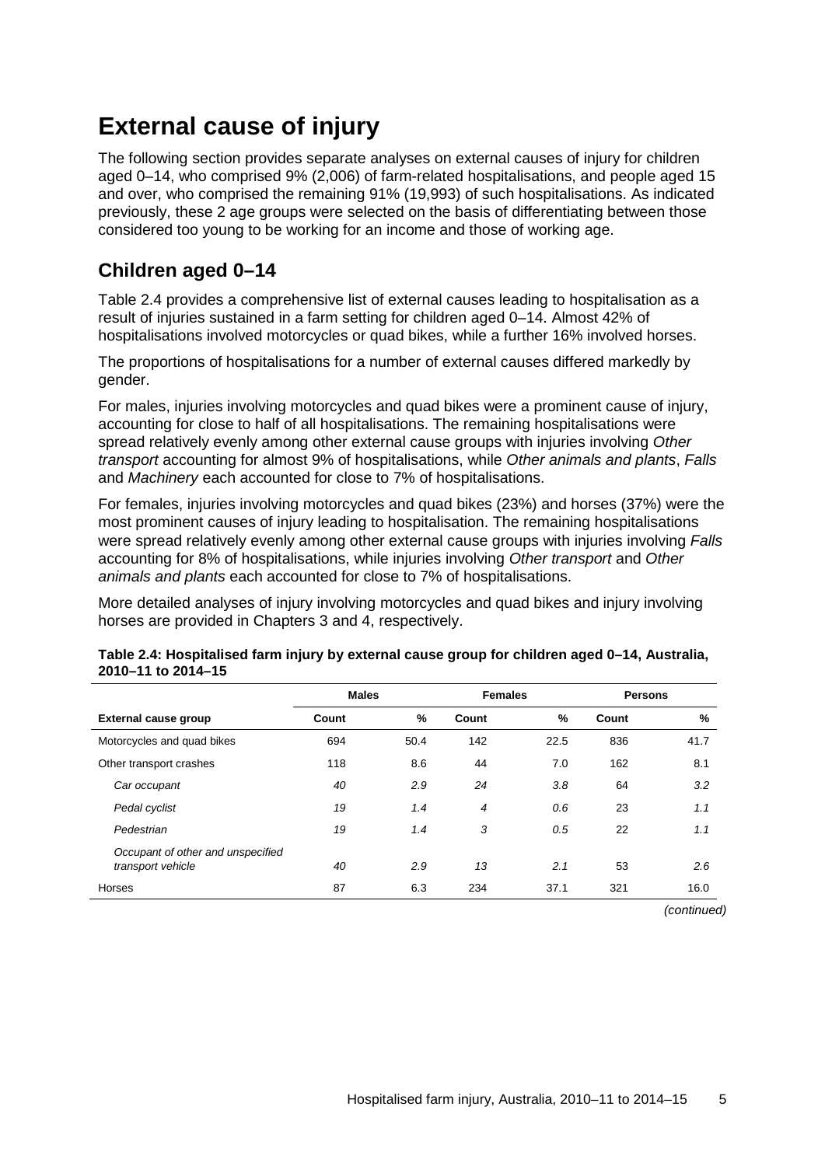### <span id="page-12-0"></span>**External cause of injury**

The following section provides separate analyses on external causes of injury for children aged 0–14, who comprised 9% (2,006) of farm-related hospitalisations, and people aged 15 and over, who comprised the remaining 91% (19,993) of such hospitalisations. As indicated previously, these 2 age groups were selected on the basis of differentiating between those considered too young to be working for an income and those of working age.

#### **Children aged 0–14**

Table 2.4 provides a comprehensive list of external causes leading to hospitalisation as a result of injuries sustained in a farm setting for children aged 0–14. Almost 42% of hospitalisations involved motorcycles or quad bikes, while a further 16% involved horses.

The proportions of hospitalisations for a number of external causes differed markedly by gender.

For males, injuries involving motorcycles and quad bikes were a prominent cause of injury, accounting for close to half of all hospitalisations. The remaining hospitalisations were spread relatively evenly among other external cause groups with injuries involving *Other transport* accounting for almost 9% of hospitalisations, while *Other animals and plants*, *Falls* and *Machinery* each accounted for close to 7% of hospitalisations.

For females, injuries involving motorcycles and quad bikes (23%) and horses (37%) were the most prominent causes of injury leading to hospitalisation. The remaining hospitalisations were spread relatively evenly among other external cause groups with injuries involving *Falls* accounting for 8% of hospitalisations, while injuries involving *Other transport* and *Other animals and plants* each accounted for close to 7% of hospitalisations.

More detailed analyses of injury involving motorcycles and quad bikes and injury involving horses are provided in Chapters 3 and 4, respectively.

|                                                        | <b>Males</b> |      | <b>Females</b> |               | <b>Persons</b> |      |
|--------------------------------------------------------|--------------|------|----------------|---------------|----------------|------|
| <b>External cause group</b>                            | Count        | %    | Count          | $\frac{9}{6}$ | Count          | %    |
| Motorcycles and quad bikes                             | 694          | 50.4 | 142            | 22.5          | 836            | 41.7 |
| Other transport crashes                                | 118          | 8.6  | 44             | 7.0           | 162            | 8.1  |
| Car occupant                                           | 40           | 2.9  | 24             | 3.8           | 64             | 3.2  |
| Pedal cyclist                                          | 19           | 1.4  | $\overline{4}$ | 0.6           | 23             | 1.1  |
| Pedestrian                                             | 19           | 1.4  | 3              | 0.5           | 22             | 1.1  |
| Occupant of other and unspecified<br>transport vehicle | 40           | 2.9  | 13             | 2.1           | 53             | 2.6  |
| Horses                                                 | 87           | 6.3  | 234            | 37.1          | 321            | 16.0 |
|                                                        |              |      |                |               |                |      |

#### <span id="page-12-1"></span>**Table 2.4: Hospitalised farm injury by external cause group for children aged 0–14, Australia, 2010–11 to 2014–15**

*(continued)*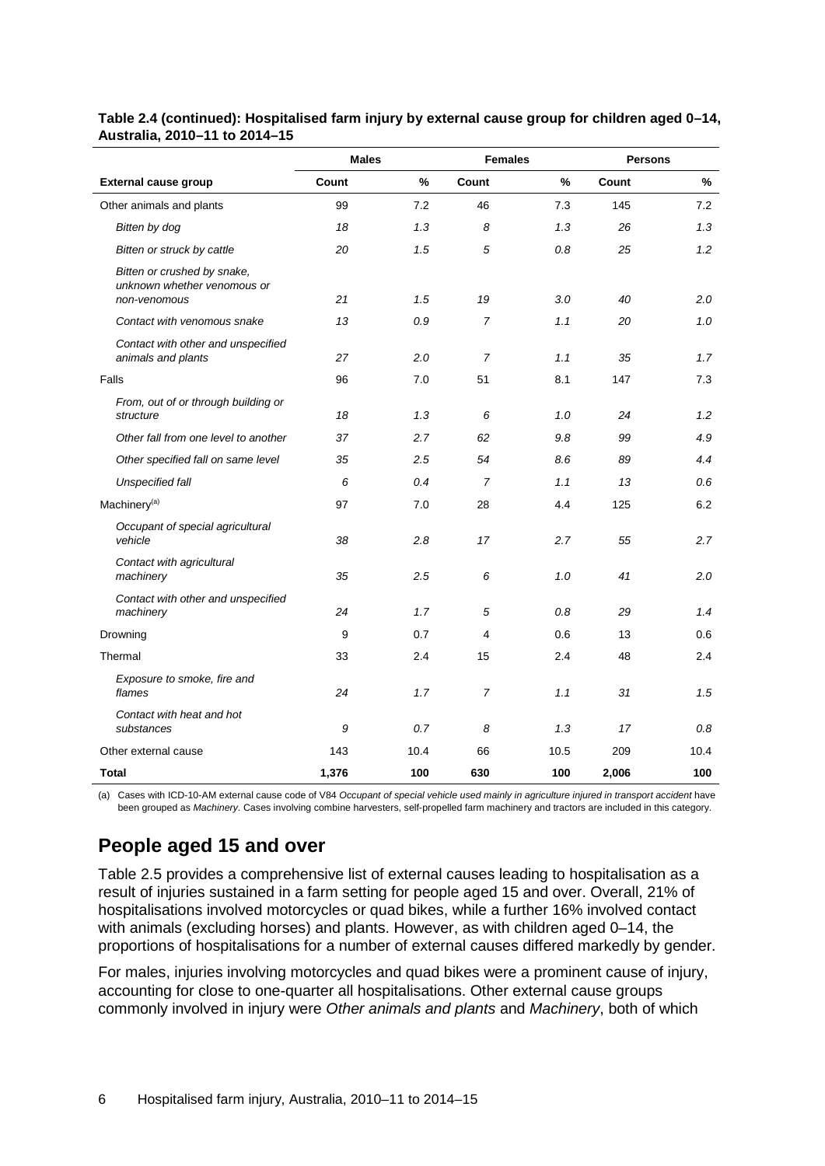|                                                                            | <b>Males</b> |      | <b>Females</b> |      | <b>Persons</b> |      |  |
|----------------------------------------------------------------------------|--------------|------|----------------|------|----------------|------|--|
| <b>External cause group</b>                                                | Count        | $\%$ | Count          | %    | Count          | $\%$ |  |
| Other animals and plants                                                   | 99           | 7.2  | 46             | 7.3  | 145            | 7.2  |  |
| Bitten by dog                                                              | 18           | 1.3  | 8              | 1.3  | 26             | 1.3  |  |
| Bitten or struck by cattle                                                 | 20           | 1.5  | 5              | 0.8  | 25             | 1.2  |  |
| Bitten or crushed by snake,<br>unknown whether venomous or<br>non-venomous | 21           | 1.5  | 19             | 3.0  | 40             | 2.0  |  |
| Contact with venomous snake                                                | 13           | 0.9  | $\overline{7}$ | 1.1  | 20             | 1.0  |  |
| Contact with other and unspecified<br>animals and plants                   | 27           | 2.0  | $\overline{7}$ | 1.1  | 35             | 1.7  |  |
| Falls                                                                      | 96           | 7.0  | 51             | 8.1  | 147            | 7.3  |  |
| From, out of or through building or<br>structure                           | 18           | 1.3  | 6              | 1.0  | 24             | 1.2  |  |
| Other fall from one level to another                                       | 37           | 2.7  | 62             | 9.8  | 99             | 4.9  |  |
| Other specified fall on same level                                         | 35           | 2.5  | 54             | 8.6  | 89             | 4.4  |  |
| Unspecified fall                                                           | 6            | 0.4  | $\overline{7}$ | 1.1  | 13             | 0.6  |  |
| Machinery <sup>(a)</sup>                                                   | 97           | 7.0  | 28             | 4.4  | 125            | 6.2  |  |
| Occupant of special agricultural<br>vehicle                                | 38           | 2.8  | 17             | 2.7  | 55             | 2.7  |  |
| Contact with agricultural<br>machinery                                     | 35           | 2.5  | 6              | 1.0  | 41             | 2.0  |  |
| Contact with other and unspecified<br>machinery                            | 24           | 1.7  | 5              | 0.8  | 29             | 1.4  |  |
| Drowning                                                                   | 9            | 0.7  | 4              | 0.6  | 13             | 0.6  |  |
| Thermal                                                                    | 33           | 2.4  | 15             | 2.4  | 48             | 2.4  |  |
| Exposure to smoke, fire and<br>flames                                      | 24           | 1.7  | $\overline{7}$ | 1.1  | 31             | 1.5  |  |
| Contact with heat and hot<br>substances                                    | 9            | 0.7  | 8              | 1.3  | 17             | 0.8  |  |
| Other external cause                                                       | 143          | 10.4 | 66             | 10.5 | 209            | 10.4 |  |
| Total                                                                      | 1.376        | 100  | 630            | 100  | 2.006          | 100  |  |

#### **Table 2.4 (continued): Hospitalised farm injury by external cause group for children aged 0–14, Australia, 2010–11 to 2014–15**

(a) Cases with ICD-10-AM external cause code of V84 *Occupant of special vehicle used mainly in agriculture injured in transport accident* have been grouped as *Machinery*. Cases involving combine harvesters, self-propelled farm machinery and tractors are included in this category.

#### **People aged 15 and over**

Table 2.5 provides a comprehensive list of external causes leading to hospitalisation as a result of injuries sustained in a farm setting for people aged 15 and over. Overall, 21% of hospitalisations involved motorcycles or quad bikes, while a further 16% involved contact with animals (excluding horses) and plants. However, as with children aged 0–14, the proportions of hospitalisations for a number of external causes differed markedly by gender.

For males, injuries involving motorcycles and quad bikes were a prominent cause of injury, accounting for close to one-quarter all hospitalisations. Other external cause groups commonly involved in injury were *Other animals and plants* and *Machinery*, both of which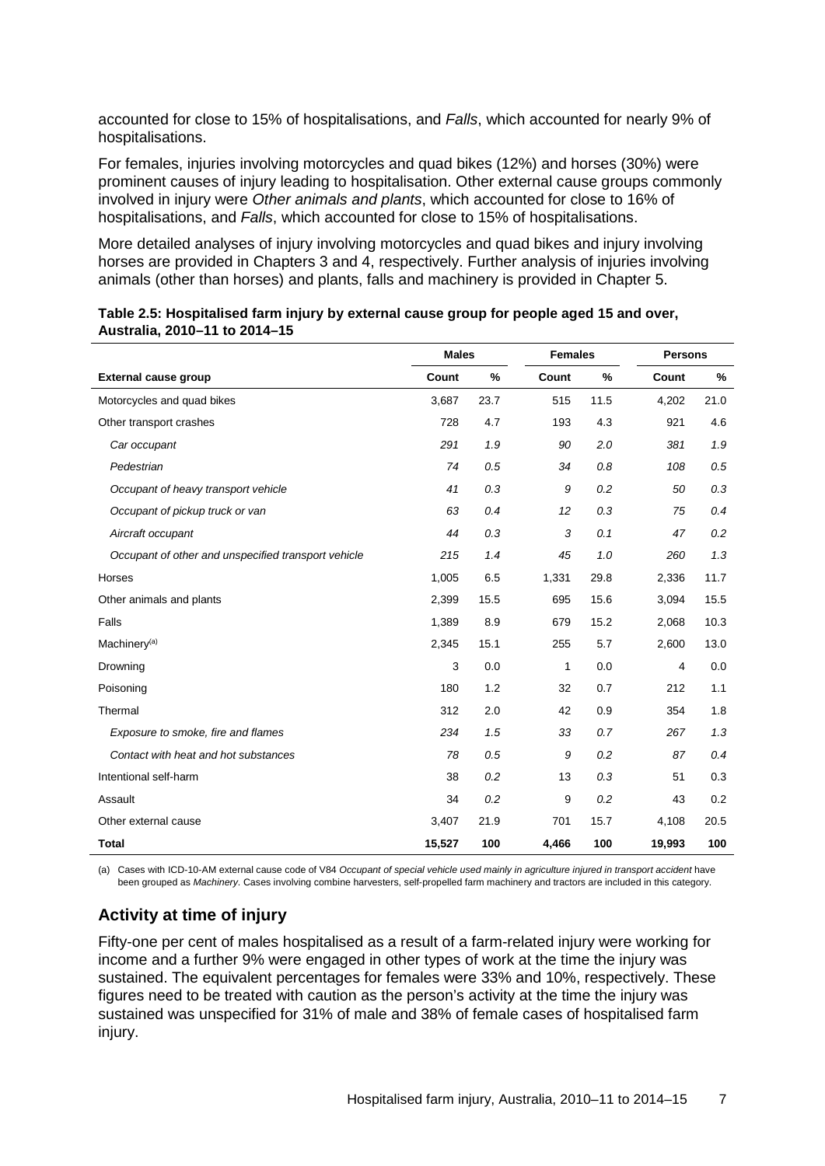accounted for close to 15% of hospitalisations, and *Falls*, which accounted for nearly 9% of hospitalisations.

For females, injuries involving motorcycles and quad bikes (12%) and horses (30%) were prominent causes of injury leading to hospitalisation. Other external cause groups commonly involved in injury were *Other animals and plants*, which accounted for close to 16% of hospitalisations, and *Falls*, which accounted for close to 15% of hospitalisations.

More detailed analyses of injury involving motorcycles and quad bikes and injury involving horses are provided in Chapters 3 and 4, respectively. Further analysis of injuries involving animals (other than horses) and plants, falls and machinery is provided in Chapter 5.

|                                                     | <b>Males</b> |      | <b>Females</b> |      | <b>Persons</b> |      |
|-----------------------------------------------------|--------------|------|----------------|------|----------------|------|
| <b>External cause group</b>                         | Count        | $\%$ | Count          | %    | Count          | $\%$ |
| Motorcycles and quad bikes                          | 3,687        | 23.7 | 515            | 11.5 | 4,202          | 21.0 |
| Other transport crashes                             | 728          | 4.7  | 193            | 4.3  | 921            | 4.6  |
| Car occupant                                        | 291          | 1.9  | 90             | 2.0  | 381            | 1.9  |
| Pedestrian                                          | 74           | 0.5  | 34             | 0.8  | 108            | 0.5  |
| Occupant of heavy transport vehicle                 | 41           | 0.3  | 9              | 0.2  | 50             | 0.3  |
| Occupant of pickup truck or van                     | 63           | 0.4  | 12             | 0.3  | 75             | 0.4  |
| Aircraft occupant                                   | 44           | 0.3  | 3              | 0.1  | 47             | 0.2  |
| Occupant of other and unspecified transport vehicle | 215          | 1.4  | 45             | 1.0  | 260            | 1.3  |
| Horses                                              | 1,005        | 6.5  | 1,331          | 29.8 | 2,336          | 11.7 |
| Other animals and plants                            | 2,399        | 15.5 | 695            | 15.6 | 3,094          | 15.5 |
| Falls                                               | 1,389        | 8.9  | 679            | 15.2 | 2,068          | 10.3 |
| Machinery <sup>(a)</sup>                            | 2,345        | 15.1 | 255            | 5.7  | 2,600          | 13.0 |
| Drowning                                            | 3            | 0.0  | 1              | 0.0  | 4              | 0.0  |
| Poisoning                                           | 180          | 1.2  | 32             | 0.7  | 212            | 1.1  |
| Thermal                                             | 312          | 2.0  | 42             | 0.9  | 354            | 1.8  |
| Exposure to smoke, fire and flames                  | 234          | 1.5  | 33             | 0.7  | 267            | 1.3  |
| Contact with heat and hot substances                | 78           | 0.5  | 9              | 0.2  | 87             | 0.4  |
| Intentional self-harm                               | 38           | 0.2  | 13             | 0.3  | 51             | 0.3  |
| Assault                                             | 34           | 0.2  | 9              | 0.2  | 43             | 0.2  |
| Other external cause                                | 3,407        | 21.9 | 701            | 15.7 | 4,108          | 20.5 |
| <b>Total</b>                                        | 15,527       | 100  | 4,466          | 100  | 19,993         | 100  |

<span id="page-14-0"></span>

| Table 2.5: Hospitalised farm injury by external cause group for people aged 15 and over, |  |
|------------------------------------------------------------------------------------------|--|
| Australia, 2010-11 to 2014-15                                                            |  |

(a) Cases with ICD-10-AM external cause code of V84 Occupant of special vehicle used mainly in agriculture injured in transport accident have been grouped as *Machinery*. Cases involving combine harvesters, self-propelled farm machinery and tractors are included in this category.

#### **Activity at time of injury**

Fifty-one per cent of males hospitalised as a result of a farm-related injury were working for income and a further 9% were engaged in other types of work at the time the injury was sustained. The equivalent percentages for females were 33% and 10%, respectively. These figures need to be treated with caution as the person's activity at the time the injury was sustained was unspecified for 31% of male and 38% of female cases of hospitalised farm injury.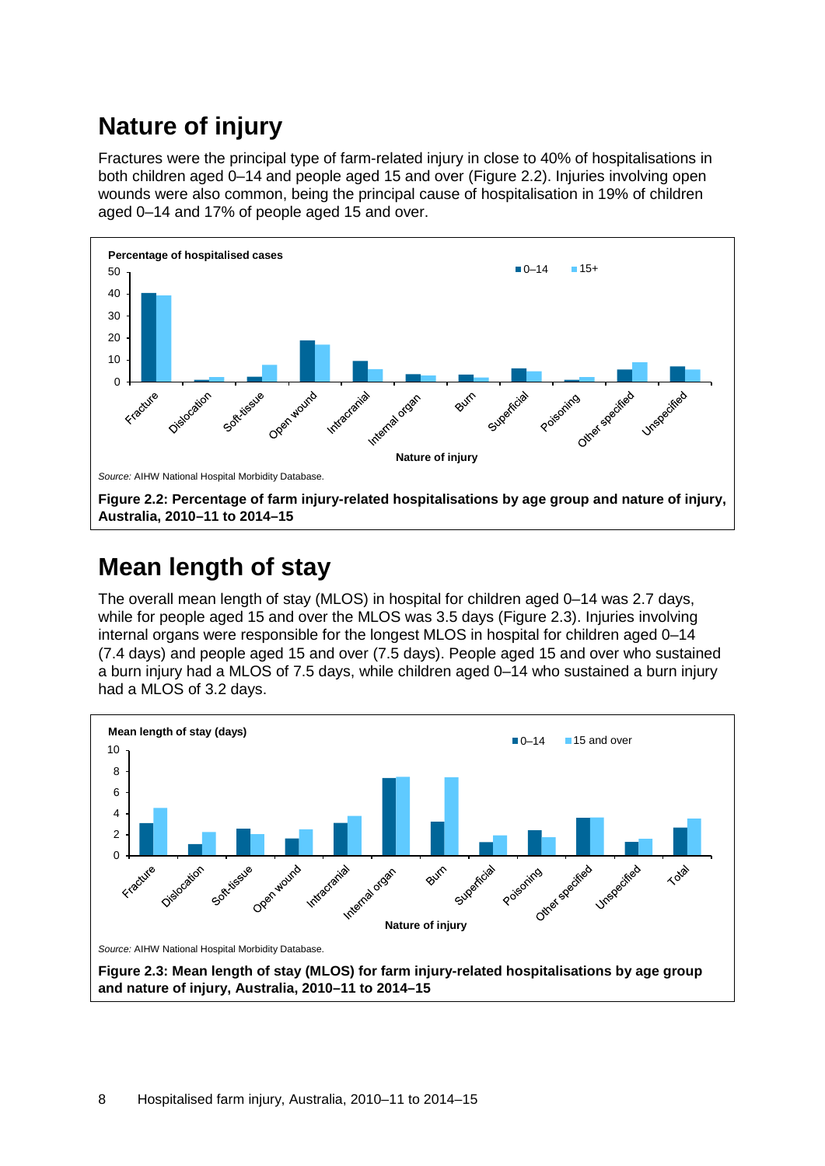### <span id="page-15-0"></span>**Nature of injury**

Fractures were the principal type of farm-related injury in close to 40% of hospitalisations in both children aged 0–14 and people aged 15 and over (Figure 2.2). Injuries involving open wounds were also common, being the principal cause of hospitalisation in 19% of children aged 0–14 and 17% of people aged 15 and over.



#### <span id="page-15-2"></span><span id="page-15-1"></span>**Mean length of stay**

The overall mean length of stay (MLOS) in hospital for children aged 0–14 was 2.7 days, while for people aged 15 and over the MLOS was 3.5 days (Figure 2.3). Injuries involving internal organs were responsible for the longest MLOS in hospital for children aged 0–14 (7.4 days) and people aged 15 and over (7.5 days). People aged 15 and over who sustained a burn injury had a MLOS of 7.5 days, while children aged 0–14 who sustained a burn injury had a MLOS of 3.2 days.

<span id="page-15-3"></span>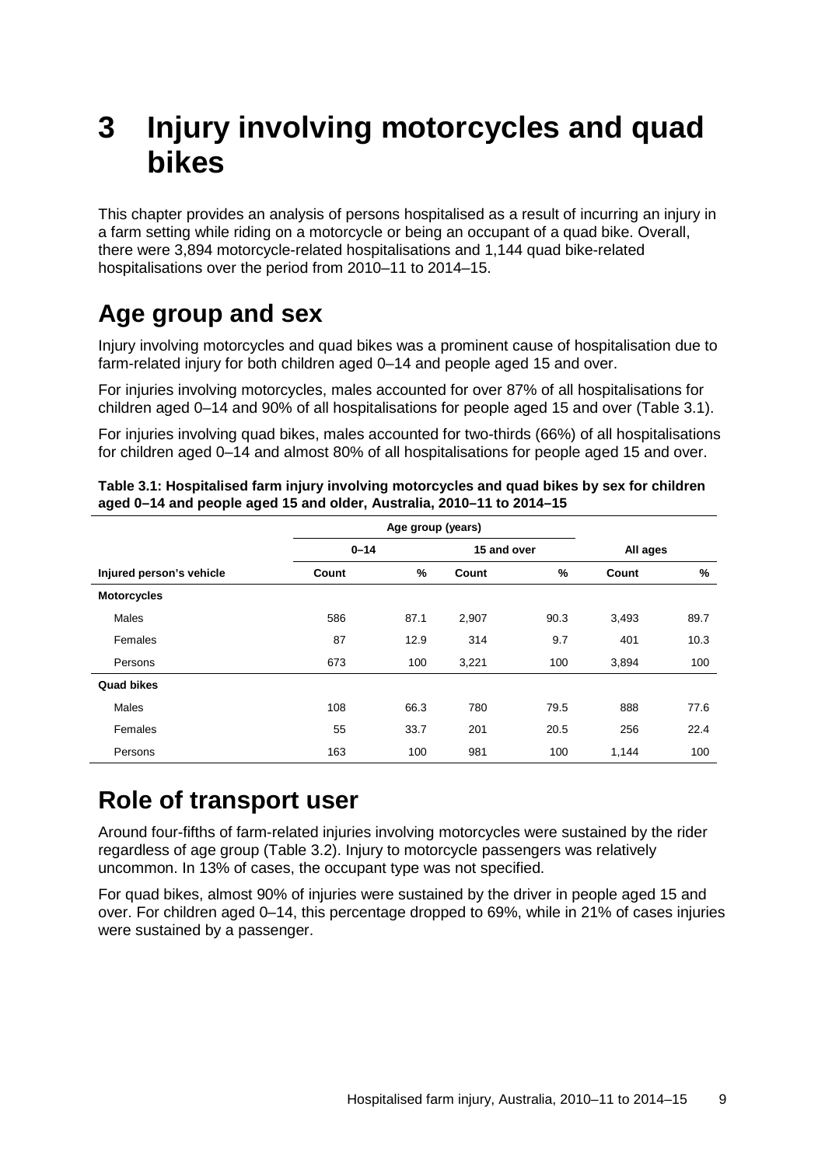# <span id="page-16-0"></span>**3 Injury involving motorcycles and quad bikes**

This chapter provides an analysis of persons hospitalised as a result of incurring an injury in a farm setting while riding on a motorcycle or being an occupant of a quad bike. Overall, there were 3,894 motorcycle-related hospitalisations and 1,144 quad bike-related hospitalisations over the period from 2010–11 to 2014–15.

### <span id="page-16-1"></span>**Age group and sex**

Injury involving motorcycles and quad bikes was a prominent cause of hospitalisation due to farm-related injury for both children aged 0–14 and people aged 15 and over.

For injuries involving motorcycles, males accounted for over 87% of all hospitalisations for children aged 0–14 and 90% of all hospitalisations for people aged 15 and over (Table 3.1).

For injuries involving quad bikes, males accounted for two-thirds (66%) of all hospitalisations for children aged 0–14 and almost 80% of all hospitalisations for people aged 15 and over.

|                          | $0 - 14$ |      |       | 15 and over   |       | All ages |  |
|--------------------------|----------|------|-------|---------------|-------|----------|--|
| Injured person's vehicle | Count    | %    | Count | $\frac{9}{6}$ | Count | %        |  |
| <b>Motorcycles</b>       |          |      |       |               |       |          |  |
| <b>Males</b>             | 586      | 87.1 | 2,907 | 90.3          | 3,493 | 89.7     |  |
| Females                  | 87       | 12.9 | 314   | 9.7           | 401   | 10.3     |  |
| Persons                  | 673      | 100  | 3,221 | 100           | 3,894 | 100      |  |
| Quad bikes               |          |      |       |               |       |          |  |
| <b>Males</b>             | 108      | 66.3 | 780   | 79.5          | 888   | 77.6     |  |
| Females                  | 55       | 33.7 | 201   | 20.5          | 256   | 22.4     |  |
| Persons                  | 163      | 100  | 981   | 100           | 1,144 | 100      |  |

<span id="page-16-3"></span>**Table 3.1: Hospitalised farm injury involving motorcycles and quad bikes by sex for children aged 0–14 and people aged 15 and older, Australia, 2010–11 to 2014–15**

### <span id="page-16-2"></span>**Role of transport user**

Around four-fifths of farm-related injuries involving motorcycles were sustained by the rider regardless of age group (Table 3.2). Injury to motorcycle passengers was relatively uncommon. In 13% of cases, the occupant type was not specified.

For quad bikes, almost 90% of injuries were sustained by the driver in people aged 15 and over. For children aged 0–14, this percentage dropped to 69%, while in 21% of cases injuries were sustained by a passenger.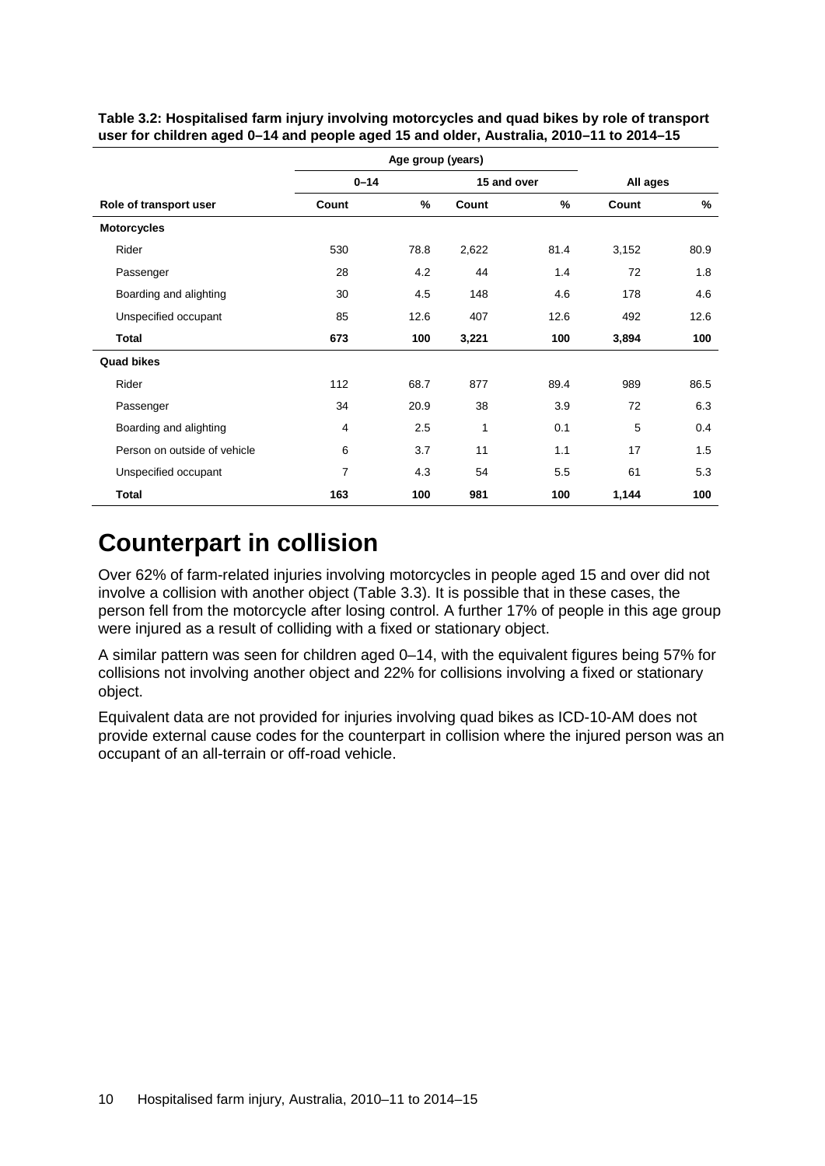|                              | Age group (years)       |      |          |      |       |      |
|------------------------------|-------------------------|------|----------|------|-------|------|
|                              | $0 - 14$<br>15 and over |      | All ages |      |       |      |
| Role of transport user       | Count                   | %    | Count    | %    | Count | %    |
| <b>Motorcycles</b>           |                         |      |          |      |       |      |
| Rider                        | 530                     | 78.8 | 2,622    | 81.4 | 3,152 | 80.9 |
| Passenger                    | 28                      | 4.2  | 44       | 1.4  | 72    | 1.8  |
| Boarding and alighting       | 30                      | 4.5  | 148      | 4.6  | 178   | 4.6  |
| Unspecified occupant         | 85                      | 12.6 | 407      | 12.6 | 492   | 12.6 |
| <b>Total</b>                 | 673                     | 100  | 3,221    | 100  | 3,894 | 100  |
| <b>Quad bikes</b>            |                         |      |          |      |       |      |
| Rider                        | 112                     | 68.7 | 877      | 89.4 | 989   | 86.5 |
| Passenger                    | 34                      | 20.9 | 38       | 3.9  | 72    | 6.3  |
| Boarding and alighting       | 4                       | 2.5  | 1        | 0.1  | 5     | 0.4  |
| Person on outside of vehicle | 6                       | 3.7  | 11       | 1.1  | 17    | 1.5  |
| Unspecified occupant         | 7                       | 4.3  | 54       | 5.5  | 61    | 5.3  |
| <b>Total</b>                 | 163                     | 100  | 981      | 100  | 1,144 | 100  |

<span id="page-17-1"></span>**Table 3.2: Hospitalised farm injury involving motorcycles and quad bikes by role of transport user for children aged 0–14 and people aged 15 and older, Australia, 2010–11 to 2014–15**

### <span id="page-17-0"></span>**Counterpart in collision**

Over 62% of farm-related injuries involving motorcycles in people aged 15 and over did not involve a collision with another object (Table 3.3). It is possible that in these cases, the person fell from the motorcycle after losing control. A further 17% of people in this age group were injured as a result of colliding with a fixed or stationary object.

A similar pattern was seen for children aged 0–14, with the equivalent figures being 57% for collisions not involving another object and 22% for collisions involving a fixed or stationary object.

Equivalent data are not provided for injuries involving quad bikes as ICD-10-AM does not provide external cause codes for the counterpart in collision where the injured person was an occupant of an all-terrain or off-road vehicle.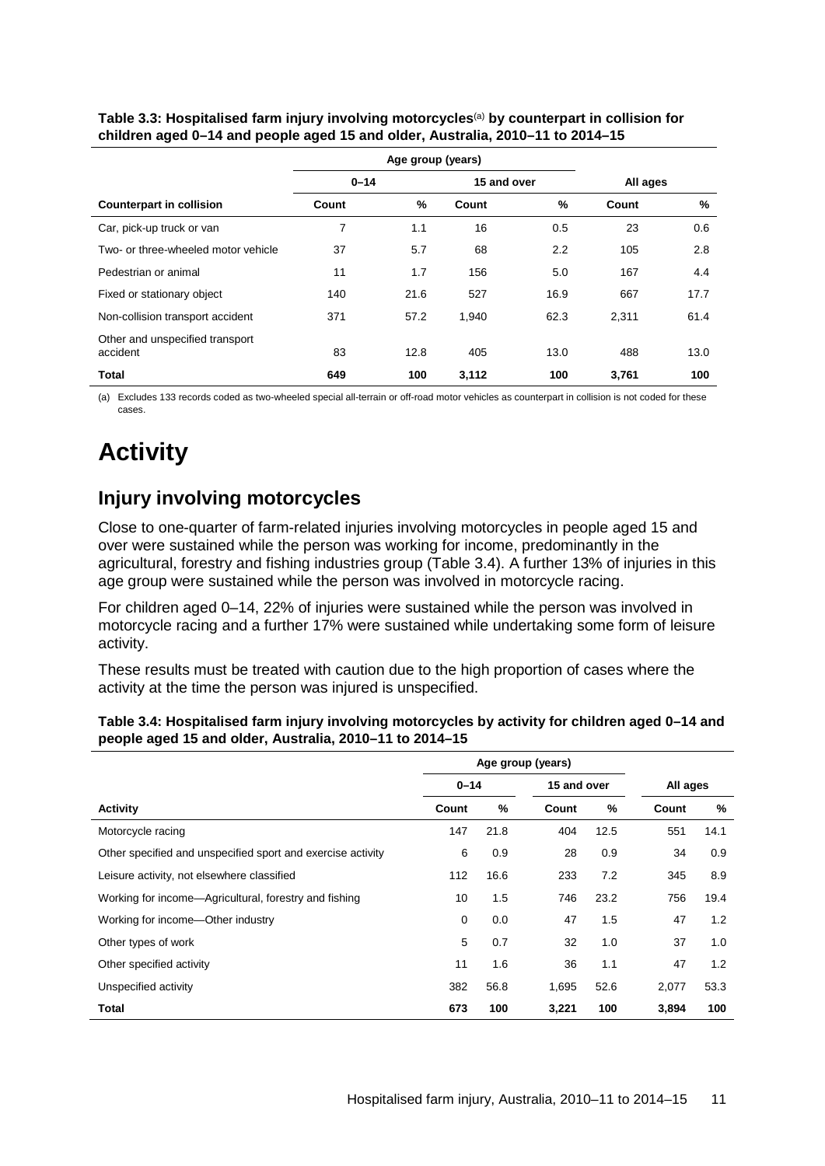|                                             |          | Age group (years) |             |      |          |      |
|---------------------------------------------|----------|-------------------|-------------|------|----------|------|
|                                             | $0 - 14$ |                   | 15 and over |      | All ages |      |
| <b>Counterpart in collision</b>             | Count    | %                 | Count       | %    | Count    | %    |
| Car, pick-up truck or van                   | 7        | 1.1               | 16          | 0.5  | 23       | 0.6  |
| Two- or three-wheeled motor vehicle         | 37       | 5.7               | 68          | 2.2  | 105      | 2.8  |
| Pedestrian or animal                        | 11       | 1.7               | 156         | 5.0  | 167      | 4.4  |
| Fixed or stationary object                  | 140      | 21.6              | 527         | 16.9 | 667      | 17.7 |
| Non-collision transport accident            | 371      | 57.2              | 1,940       | 62.3 | 2.311    | 61.4 |
| Other and unspecified transport<br>accident | 83       | 12.8              | 405         | 13.0 | 488      | 13.0 |
| <b>Total</b>                                | 649      | 100               | 3,112       | 100  | 3,761    | 100  |

<span id="page-18-1"></span>**Table 3.3: Hospitalised farm injury involving motorcycles**(a) **by counterpart in collision for children aged 0–14 and people aged 15 and older, Australia, 2010–11 to 2014–15**

(a) Excludes 133 records coded as two-wheeled special all-terrain or off-road motor vehicles as counterpart in collision is not coded for these cases.

# <span id="page-18-0"></span>**Activity**

#### **Injury involving motorcycles**

Close to one-quarter of farm-related injuries involving motorcycles in people aged 15 and over were sustained while the person was working for income, predominantly in the agricultural, forestry and fishing industries group (Table 3.4). A further 13% of injuries in this age group were sustained while the person was involved in motorcycle racing.

For children aged 0–14, 22% of injuries were sustained while the person was involved in motorcycle racing and a further 17% were sustained while undertaking some form of leisure activity.

These results must be treated with caution due to the high proportion of cases where the activity at the time the person was injured is unspecified.

<span id="page-18-2"></span>

| Table 3.4: Hospitalised farm injury involving motorcycles by activity for children aged 0-14 and |
|--------------------------------------------------------------------------------------------------|
| people aged 15 and older, Australia, 2010-11 to 2014-15                                          |

|                                                             | Age group (years) |      |             |      |          |      |
|-------------------------------------------------------------|-------------------|------|-------------|------|----------|------|
|                                                             | $0 - 14$          |      | 15 and over |      | All ages |      |
| <b>Activity</b>                                             | Count             | %    | Count       | %    | Count    | %    |
| Motorcycle racing                                           | 147               | 21.8 | 404         | 12.5 | 551      | 14.1 |
| Other specified and unspecified sport and exercise activity | 6                 | 0.9  | 28          | 0.9  | 34       | 0.9  |
| Leisure activity, not elsewhere classified                  | 112               | 16.6 | 233         | 7.2  | 345      | 8.9  |
| Working for income-Agricultural, forestry and fishing       | 10                | 1.5  | 746         | 23.2 | 756      | 19.4 |
| Working for income-Other industry                           | $\mathbf 0$       | 0.0  | 47          | 1.5  | 47       | 1.2  |
| Other types of work                                         | 5                 | 0.7  | 32          | 1.0  | 37       | 1.0  |
| Other specified activity                                    | 11                | 1.6  | 36          | 1.1  | 47       | 1.2  |
| Unspecified activity                                        | 382               | 56.8 | 1,695       | 52.6 | 2,077    | 53.3 |
| <b>Total</b>                                                | 673               | 100  | 3,221       | 100  | 3,894    | 100  |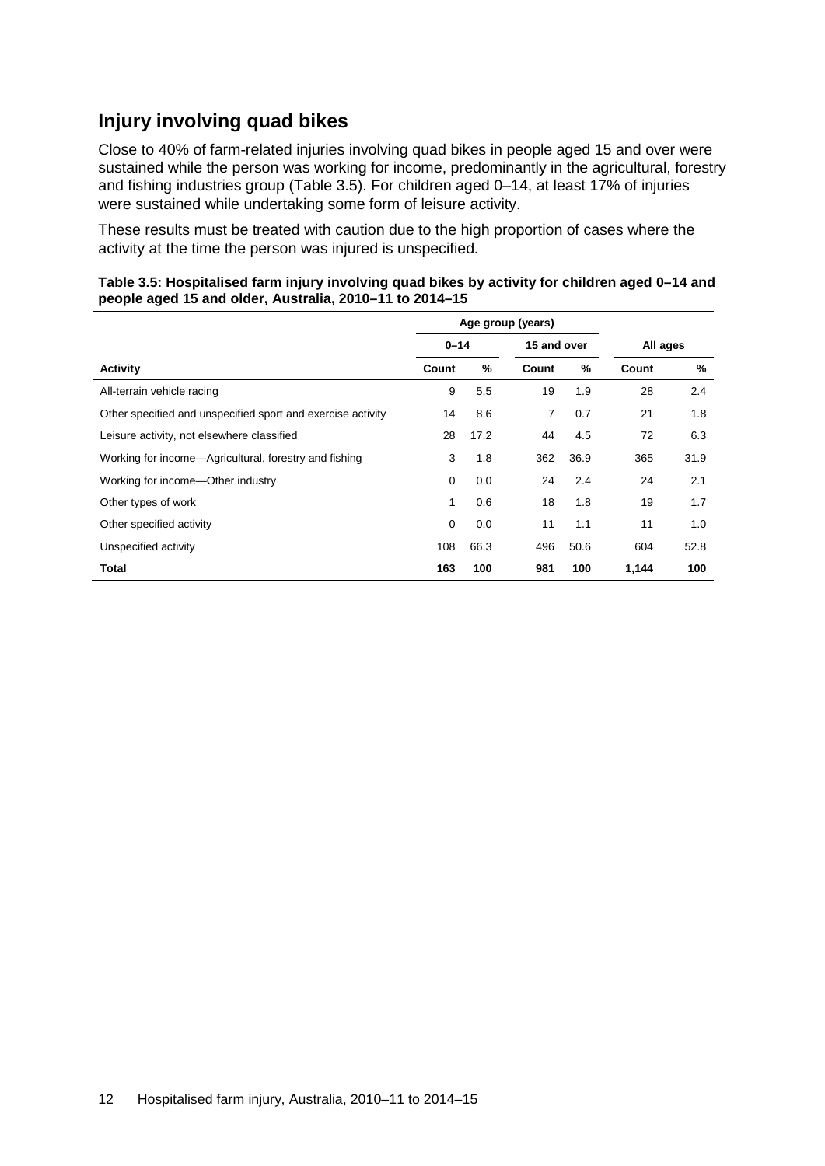#### **Injury involving quad bikes**

Close to 40% of farm-related injuries involving quad bikes in people aged 15 and over were sustained while the person was working for income, predominantly in the agricultural, forestry and fishing industries group (Table 3.5). For children aged 0–14, at least 17% of injuries were sustained while undertaking some form of leisure activity.

These results must be treated with caution due to the high proportion of cases where the activity at the time the person was injured is unspecified.

<span id="page-19-0"></span>

| Table 3.5: Hospitalised farm injury involving quad bikes by activity for children aged 0-14 and |  |
|-------------------------------------------------------------------------------------------------|--|
| people aged 15 and older, Australia, 2010–11 to 2014–15                                         |  |

|                                                             | Age group (years) |      |             |      |          |      |
|-------------------------------------------------------------|-------------------|------|-------------|------|----------|------|
|                                                             | $0 - 14$          |      | 15 and over |      | All ages |      |
| <b>Activity</b>                                             | Count             | %    | Count       | %    | Count    | %    |
| All-terrain vehicle racing                                  | 9                 | 5.5  | 19          | 1.9  | 28       | 2.4  |
| Other specified and unspecified sport and exercise activity | 14                | 8.6  | 7           | 0.7  | 21       | 1.8  |
| Leisure activity, not elsewhere classified                  | 28                | 17.2 | 44          | 4.5  | 72       | 6.3  |
| Working for income—Agricultural, forestry and fishing       | 3                 | 1.8  | 362         | 36.9 | 365      | 31.9 |
| Working for income-Other industry                           | 0                 | 0.0  | 24          | 2.4  | 24       | 2.1  |
| Other types of work                                         | 1                 | 0.6  | 18          | 1.8  | 19       | 1.7  |
| Other specified activity                                    | 0                 | 0.0  | 11          | 1.1  | 11       | 1.0  |
| Unspecified activity                                        | 108               | 66.3 | 496         | 50.6 | 604      | 52.8 |
| <b>Total</b>                                                | 163               | 100  | 981         | 100  | 1,144    | 100  |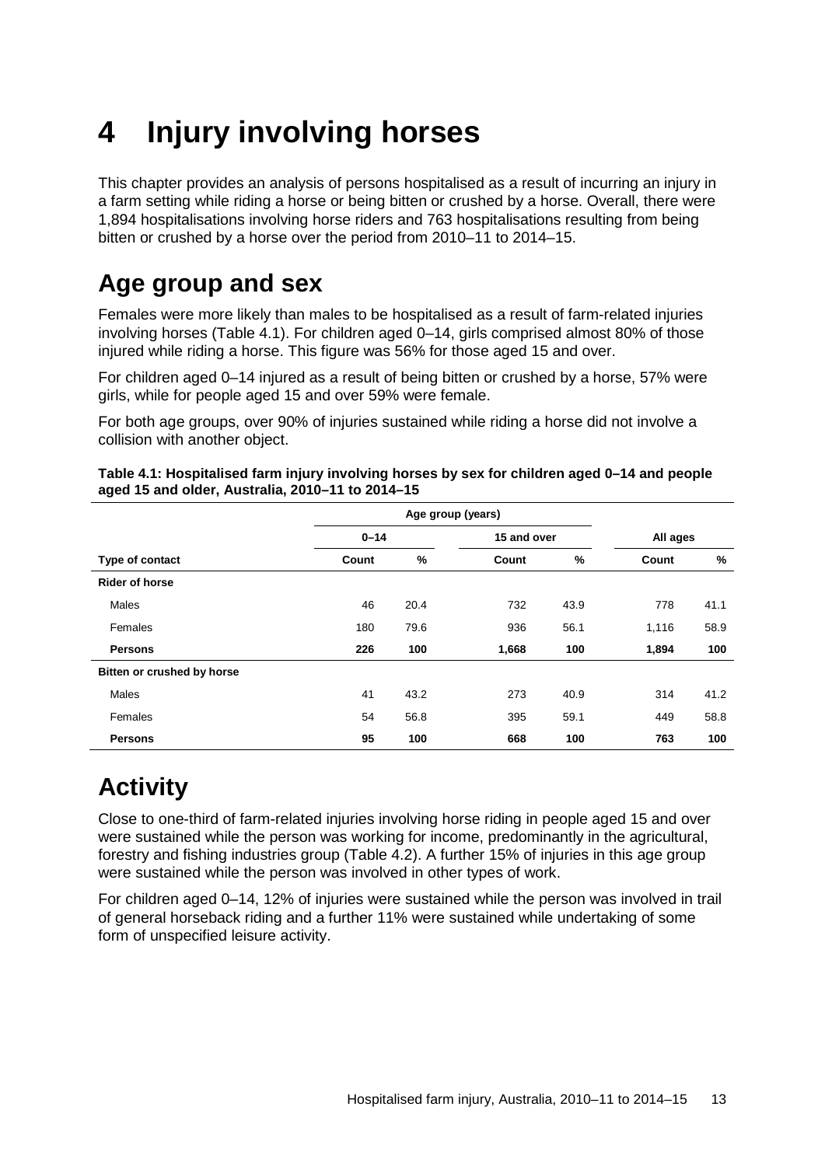# <span id="page-20-0"></span>**4 Injury involving horses**

This chapter provides an analysis of persons hospitalised as a result of incurring an injury in a farm setting while riding a horse or being bitten or crushed by a horse. Overall, there were 1,894 hospitalisations involving horse riders and 763 hospitalisations resulting from being bitten or crushed by a horse over the period from 2010–11 to 2014–15.

### <span id="page-20-1"></span>**Age group and sex**

Females were more likely than males to be hospitalised as a result of farm-related injuries involving horses (Table 4.1). For children aged 0–14, girls comprised almost 80% of those injured while riding a horse. This figure was 56% for those aged 15 and over.

For children aged 0–14 injured as a result of being bitten or crushed by a horse, 57% were girls, while for people aged 15 and over 59% were female.

For both age groups, over 90% of injuries sustained while riding a horse did not involve a collision with another object.

|                            | $0 - 14$ |      | 15 and over |      | All ages |               |
|----------------------------|----------|------|-------------|------|----------|---------------|
| Type of contact            | Count    | %    | Count       | $\%$ | Count    | $\frac{9}{6}$ |
| <b>Rider of horse</b>      |          |      |             |      |          |               |
| <b>Males</b>               | 46       | 20.4 | 732         | 43.9 | 778      | 41.1          |
| <b>Females</b>             | 180      | 79.6 | 936         | 56.1 | 1,116    | 58.9          |
| <b>Persons</b>             | 226      | 100  | 1,668       | 100  | 1,894    | 100           |
| Bitten or crushed by horse |          |      |             |      |          |               |
| <b>Males</b>               | 41       | 43.2 | 273         | 40.9 | 314      | 41.2          |
| Females                    | 54       | 56.8 | 395         | 59.1 | 449      | 58.8          |
| <b>Persons</b>             | 95       | 100  | 668         | 100  | 763      | 100           |

<span id="page-20-3"></span>**Table 4.1: Hospitalised farm injury involving horses by sex for children aged 0–14 and people aged 15 and older, Australia, 2010–11 to 2014–15**

## <span id="page-20-2"></span>**Activity**

Close to one-third of farm-related injuries involving horse riding in people aged 15 and over were sustained while the person was working for income, predominantly in the agricultural, forestry and fishing industries group (Table 4.2). A further 15% of injuries in this age group were sustained while the person was involved in other types of work.

For children aged 0–14, 12% of injuries were sustained while the person was involved in trail of general horseback riding and a further 11% were sustained while undertaking of some form of unspecified leisure activity.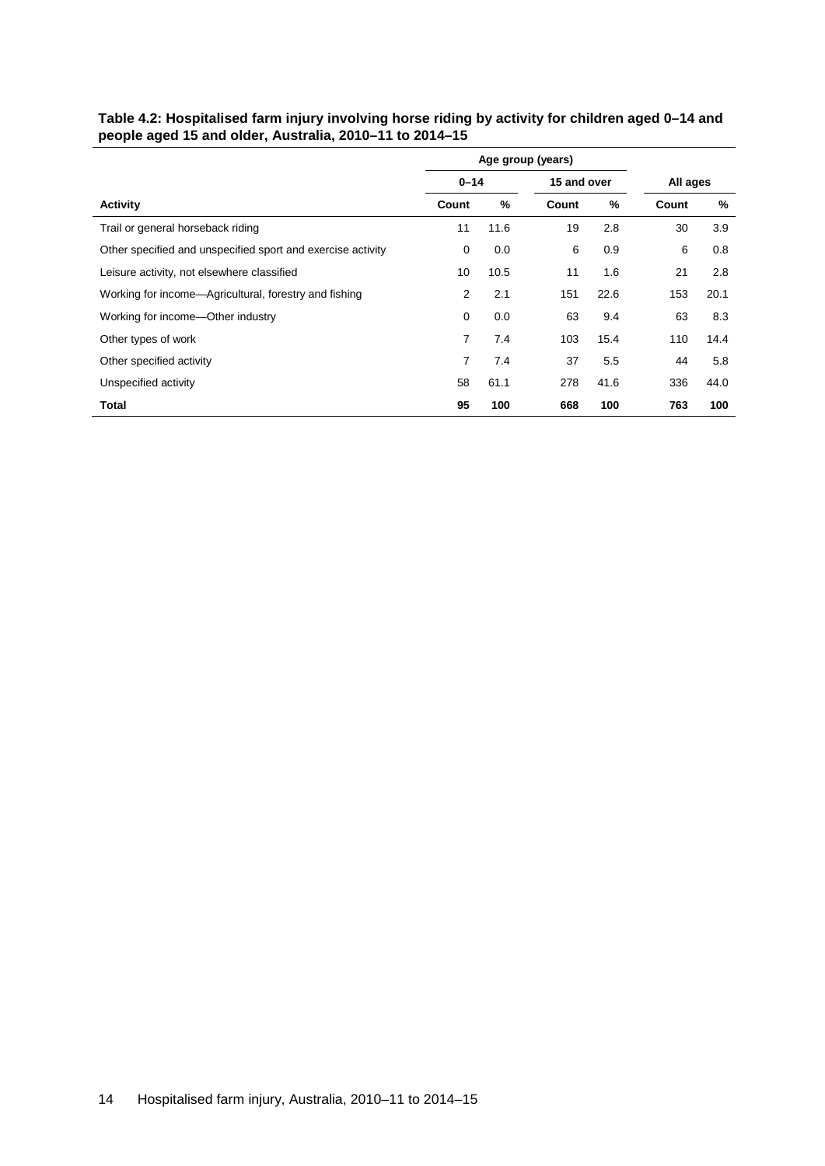<span id="page-21-0"></span>

| Table 4.2: Hospitalised farm injury involving horse riding by activity for children aged 0-14 and |
|---------------------------------------------------------------------------------------------------|
| people aged 15 and older, Australia, 2010–11 to 2014–15                                           |

|                                                             |          |      | Age group (years) |      |          |      |
|-------------------------------------------------------------|----------|------|-------------------|------|----------|------|
|                                                             | $0 - 14$ |      | 15 and over       |      | All ages |      |
| <b>Activity</b>                                             | Count    | %    | Count             | %    | Count    | %    |
| Trail or general horseback riding                           | 11       | 11.6 | 19                | 2.8  | 30       | 3.9  |
| Other specified and unspecified sport and exercise activity | 0        | 0.0  | 6                 | 0.9  | 6        | 0.8  |
| Leisure activity, not elsewhere classified                  | 10       | 10.5 | 11                | 1.6  | 21       | 2.8  |
| Working for income—Agricultural, forestry and fishing       | 2        | 2.1  | 151               | 22.6 | 153      | 20.1 |
| Working for income—Other industry                           | 0        | 0.0  | 63                | 9.4  | 63       | 8.3  |
| Other types of work                                         | 7        | 7.4  | 103               | 15.4 | 110      | 14.4 |
| Other specified activity                                    | 7        | 7.4  | 37                | 5.5  | 44       | 5.8  |
| Unspecified activity                                        | 58       | 61.1 | 278               | 41.6 | 336      | 44.0 |
| Total                                                       | 95       | 100  | 668               | 100  | 763      | 100  |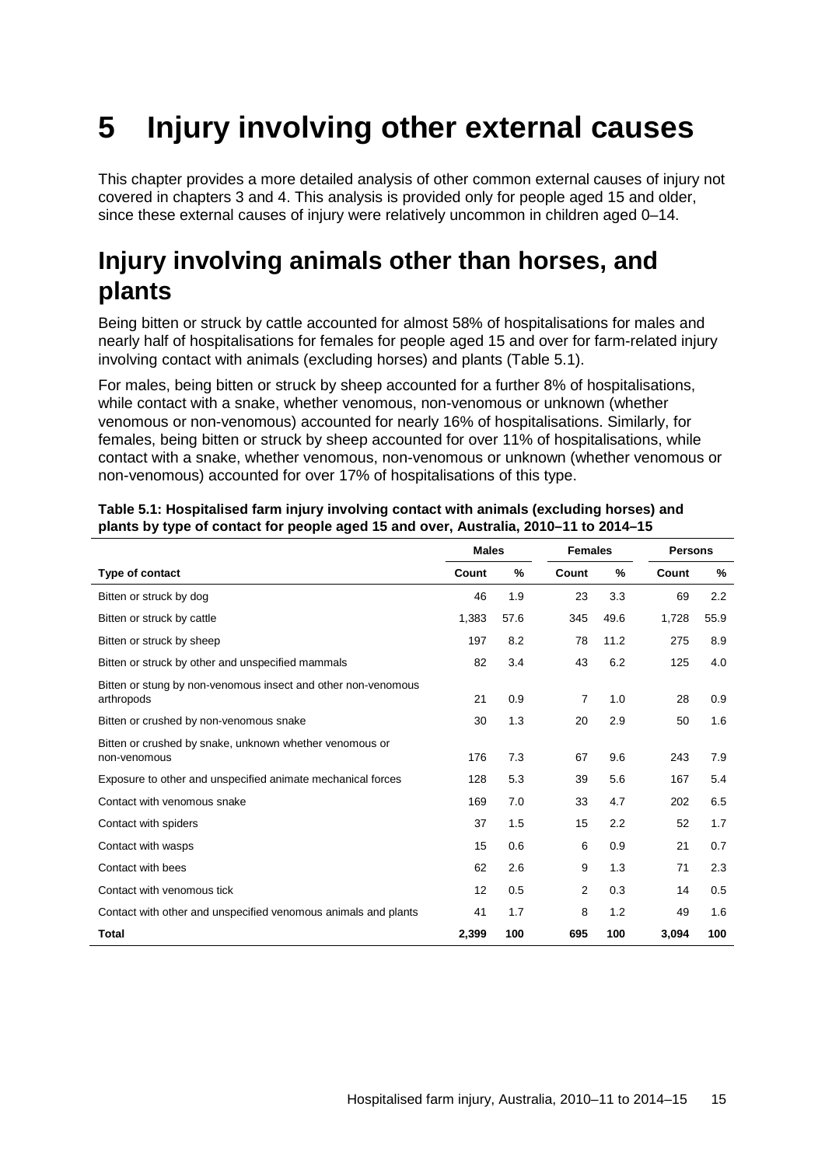# <span id="page-22-0"></span>**5 Injury involving other external causes**

This chapter provides a more detailed analysis of other common external causes of injury not covered in chapters 3 and 4. This analysis is provided only for people aged 15 and older, since these external causes of injury were relatively uncommon in children aged 0–14.

### <span id="page-22-1"></span>**Injury involving animals other than horses, and plants**

Being bitten or struck by cattle accounted for almost 58% of hospitalisations for males and nearly half of hospitalisations for females for people aged 15 and over for farm-related injury involving contact with animals (excluding horses) and plants (Table 5.1).

For males, being bitten or struck by sheep accounted for a further 8% of hospitalisations, while contact with a snake, whether venomous, non-venomous or unknown (whether venomous or non-venomous) accounted for nearly 16% of hospitalisations. Similarly, for females, being bitten or struck by sheep accounted for over 11% of hospitalisations, while contact with a snake, whether venomous, non-venomous or unknown (whether venomous or non-venomous) accounted for over 17% of hospitalisations of this type.

|                                                                             | <b>Males</b> |      | <b>Females</b> |      | <b>Persons</b> |      |
|-----------------------------------------------------------------------------|--------------|------|----------------|------|----------------|------|
| Type of contact                                                             | Count        | %    | Count          | %    | Count          | %    |
| Bitten or struck by dog                                                     | 46           | 1.9  | 23             | 3.3  | 69             | 2.2  |
| Bitten or struck by cattle                                                  | 1,383        | 57.6 | 345            | 49.6 | 1,728          | 55.9 |
| Bitten or struck by sheep                                                   | 197          | 8.2  | 78             | 11.2 | 275            | 8.9  |
| Bitten or struck by other and unspecified mammals                           | 82           | 3.4  | 43             | 6.2  | 125            | 4.0  |
| Bitten or stung by non-venomous insect and other non-venomous<br>arthropods | 21           | 0.9  | 7              | 1.0  | 28             | 0.9  |
| Bitten or crushed by non-venomous snake                                     | 30           | 1.3  | 20             | 2.9  | 50             | 1.6  |
| Bitten or crushed by snake, unknown whether venomous or<br>non-venomous     | 176          | 7.3  | 67             | 9.6  | 243            | 7.9  |
| Exposure to other and unspecified animate mechanical forces                 | 128          | 5.3  | 39             | 5.6  | 167            | 5.4  |
| Contact with venomous snake                                                 | 169          | 7.0  | 33             | 4.7  | 202            | 6.5  |
| Contact with spiders                                                        | 37           | 1.5  | 15             | 2.2  | 52             | 1.7  |
| Contact with wasps                                                          | 15           | 0.6  | 6              | 0.9  | 21             | 0.7  |
| Contact with bees                                                           | 62           | 2.6  | 9              | 1.3  | 71             | 2.3  |
| Contact with venomous tick                                                  | 12           | 0.5  | 2              | 0.3  | 14             | 0.5  |
| Contact with other and unspecified venomous animals and plants              | 41           | 1.7  | 8              | 1.2  | 49             | 1.6  |
| <b>Total</b>                                                                | 2,399        | 100  | 695            | 100  | 3,094          | 100  |

<span id="page-22-2"></span>**Table 5.1: Hospitalised farm injury involving contact with animals (excluding horses) and plants by type of contact for people aged 15 and over, Australia, 2010–11 to 2014–15**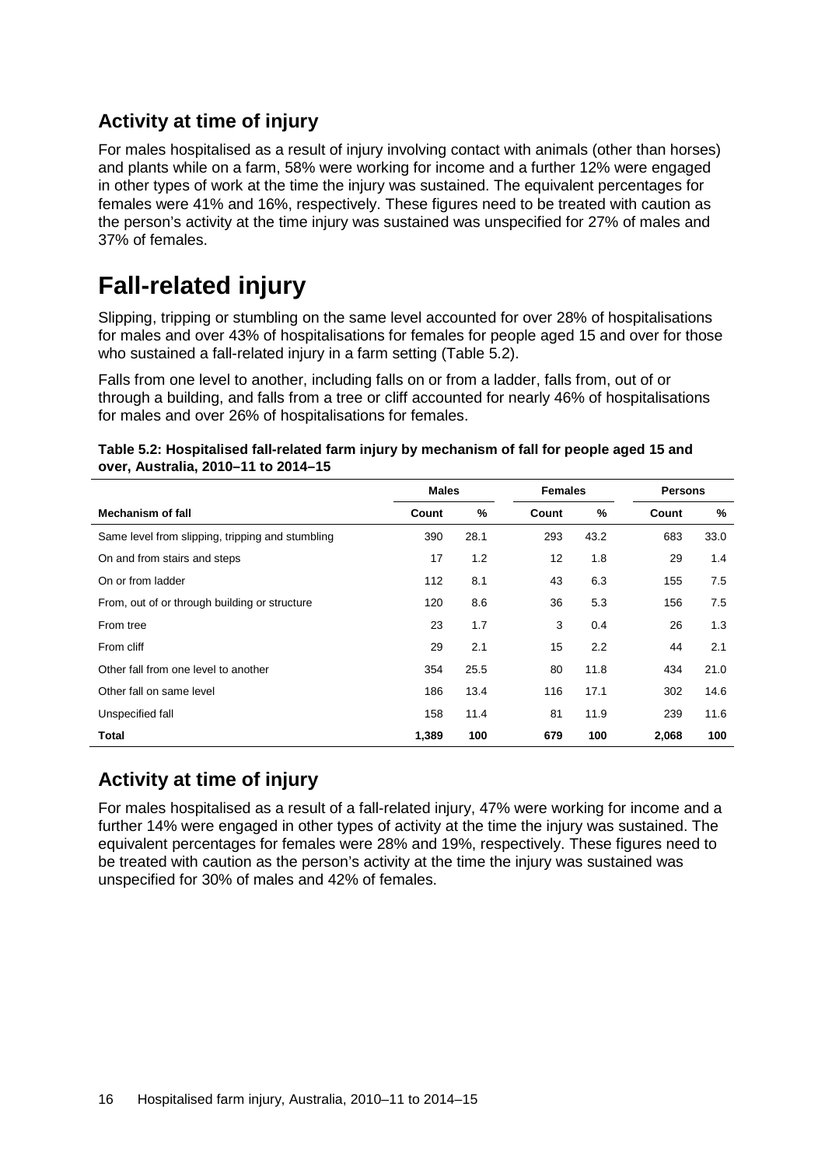#### **Activity at time of injury**

For males hospitalised as a result of injury involving contact with animals (other than horses) and plants while on a farm, 58% were working for income and a further 12% were engaged in other types of work at the time the injury was sustained. The equivalent percentages for females were 41% and 16%, respectively. These figures need to be treated with caution as the person's activity at the time injury was sustained was unspecified for 27% of males and 37% of females.

### <span id="page-23-0"></span>**Fall-related injury**

Slipping, tripping or stumbling on the same level accounted for over 28% of hospitalisations for males and over 43% of hospitalisations for females for people aged 15 and over for those who sustained a fall-related injury in a farm setting (Table 5.2).

Falls from one level to another, including falls on or from a ladder, falls from, out of or through a building, and falls from a tree or cliff accounted for nearly 46% of hospitalisations for males and over 26% of hospitalisations for females.

|                                                  | <b>Males</b> |      | <b>Females</b> |      | <b>Persons</b> |      |
|--------------------------------------------------|--------------|------|----------------|------|----------------|------|
| <b>Mechanism of fall</b>                         | Count        | %    | Count          | %    | Count          | %    |
| Same level from slipping, tripping and stumbling | 390          | 28.1 | 293            | 43.2 | 683            | 33.0 |
| On and from stairs and steps                     | 17           | 1.2  | 12             | 1.8  | 29             | 1.4  |
| On or from ladder                                | 112          | 8.1  | 43             | 6.3  | 155            | 7.5  |
| From, out of or through building or structure    | 120          | 8.6  | 36             | 5.3  | 156            | 7.5  |
| From tree                                        | 23           | 1.7  | 3              | 0.4  | 26             | 1.3  |
| From cliff                                       | 29           | 2.1  | 15             | 2.2  | 44             | 2.1  |
| Other fall from one level to another             | 354          | 25.5 | 80             | 11.8 | 434            | 21.0 |
| Other fall on same level                         | 186          | 13.4 | 116            | 17.1 | 302            | 14.6 |
| Unspecified fall                                 | 158          | 11.4 | 81             | 11.9 | 239            | 11.6 |
| <b>Total</b>                                     | 1,389        | 100  | 679            | 100  | 2,068          | 100  |

<span id="page-23-1"></span>

| Table 5.2: Hospitalised fall-related farm injury by mechanism of fall for people aged 15 and |  |
|----------------------------------------------------------------------------------------------|--|
| over, Australia, 2010-11 to 2014-15                                                          |  |

#### **Activity at time of injury**

For males hospitalised as a result of a fall-related injury, 47% were working for income and a further 14% were engaged in other types of activity at the time the injury was sustained. The equivalent percentages for females were 28% and 19%, respectively. These figures need to be treated with caution as the person's activity at the time the injury was sustained was unspecified for 30% of males and 42% of females.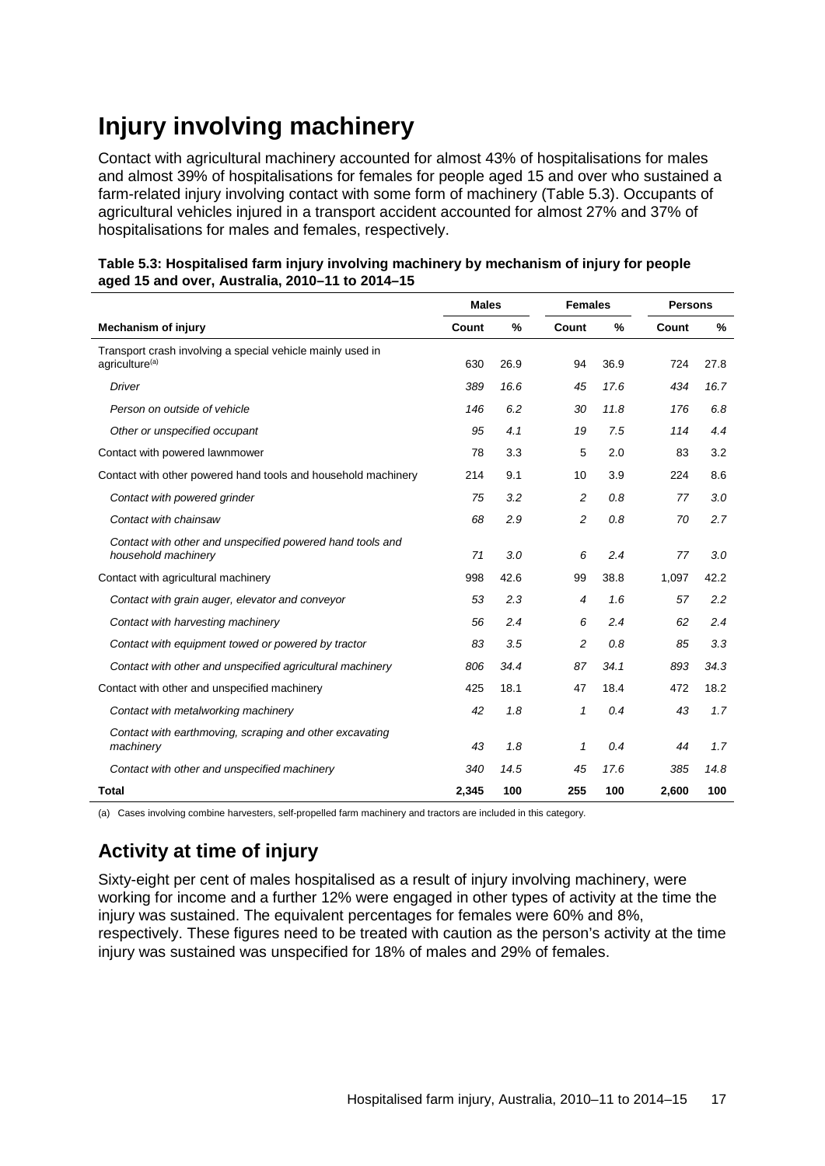### <span id="page-24-0"></span>**Injury involving machinery**

Contact with agricultural machinery accounted for almost 43% of hospitalisations for males and almost 39% of hospitalisations for females for people aged 15 and over who sustained a farm-related injury involving contact with some form of machinery (Table 5.3). Occupants of agricultural vehicles injured in a transport accident accounted for almost 27% and 37% of hospitalisations for males and females, respectively.

<span id="page-24-1"></span>

|                                                 | Table 5.3: Hospitalised farm injury involving machinery by mechanism of injury for people |
|-------------------------------------------------|-------------------------------------------------------------------------------------------|
| aged 15 and over, Australia, 2010-11 to 2014-15 |                                                                                           |

|                                                                                          | <b>Males</b> |      | <b>Females</b> |      |       | <b>Persons</b> |  |
|------------------------------------------------------------------------------------------|--------------|------|----------------|------|-------|----------------|--|
| <b>Mechanism of injury</b>                                                               | Count        | %    | Count          | %    | Count | %              |  |
| Transport crash involving a special vehicle mainly used in<br>agriculture <sup>(a)</sup> | 630          | 26.9 | 94             | 36.9 | 724   | 27.8           |  |
| <b>Driver</b>                                                                            | 389          | 16.6 | 45             | 17.6 | 434   | 16.7           |  |
| Person on outside of vehicle                                                             | 146          | 6.2  | 30             | 11.8 | 176   | 6.8            |  |
| Other or unspecified occupant                                                            | 95           | 4.1  | 19             | 7.5  | 114   | 4.4            |  |
| Contact with powered lawnmower                                                           | 78           | 3.3  | 5              | 2.0  | 83    | 3.2            |  |
| Contact with other powered hand tools and household machinery                            | 214          | 9.1  | 10             | 3.9  | 224   | 8.6            |  |
| Contact with powered grinder                                                             | 75           | 3.2  | 2              | 0.8  | 77    | 3.0            |  |
| Contact with chainsaw                                                                    | 68           | 2.9  | $\overline{c}$ | 0.8  | 70    | 2.7            |  |
| Contact with other and unspecified powered hand tools and<br>household machinery         | 71           | 3.0  | 6              | 2.4  | 77    | 3.0            |  |
| Contact with agricultural machinery                                                      | 998          | 42.6 | 99             | 38.8 | 1,097 | 42.2           |  |
| Contact with grain auger, elevator and conveyor                                          | 53           | 2.3  | $\overline{4}$ | 1.6  | 57    | 2.2            |  |
| Contact with harvesting machinery                                                        | 56           | 2.4  | 6              | 2.4  | 62    | 2.4            |  |
| Contact with equipment towed or powered by tractor                                       | 83           | 3.5  | 2              | 0.8  | 85    | 3.3            |  |
| Contact with other and unspecified agricultural machinery                                | 806          | 34.4 | 87             | 34.1 | 893   | 34.3           |  |
| Contact with other and unspecified machinery                                             | 425          | 18.1 | 47             | 18.4 | 472   | 18.2           |  |
| Contact with metalworking machinery                                                      | 42           | 1.8  | 1              | 0.4  | 43    | 1.7            |  |
| Contact with earthmoving, scraping and other excavating<br>machinery                     | 43           | 1.8  | $\mathbf{1}$   | 0.4  | 44    | 1.7            |  |
| Contact with other and unspecified machinery                                             | 340          | 14.5 | 45             | 17.6 | 385   | 14.8           |  |
| <b>Total</b>                                                                             | 2,345        | 100  | 255            | 100  | 2,600 | 100            |  |

(a) Cases involving combine harvesters, self-propelled farm machinery and tractors are included in this category.

#### **Activity at time of injury**

Sixty-eight per cent of males hospitalised as a result of injury involving machinery, were working for income and a further 12% were engaged in other types of activity at the time the injury was sustained. The equivalent percentages for females were 60% and 8%, respectively. These figures need to be treated with caution as the person's activity at the time injury was sustained was unspecified for 18% of males and 29% of females.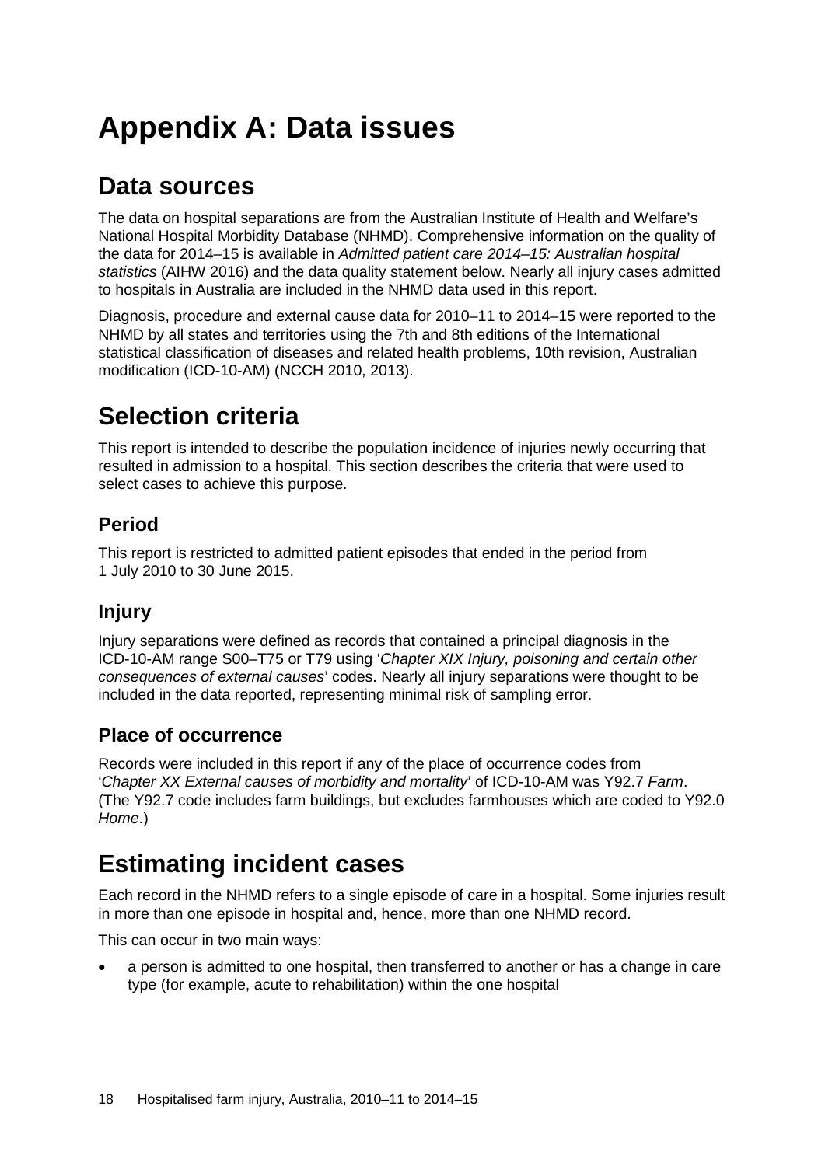# <span id="page-25-0"></span>**Appendix A: Data issues**

### **Data sources**

The data on hospital separations are from the Australian Institute of Health and Welfare's National Hospital Morbidity Database (NHMD). Comprehensive information on the quality of the data for 2014–15 is available in *Admitted patient care 2014–15: Australian hospital statistics* (AIHW 2016) and the data quality statement below. Nearly all injury cases admitted to hospitals in Australia are included in the NHMD data used in this report.

Diagnosis, procedure and external cause data for 2010–11 to 2014–15 were reported to the NHMD by all states and territories using the 7th and 8th editions of the International statistical classification of diseases and related health problems, 10th revision, Australian modification (ICD-10-AM) (NCCH 2010, 2013).

### **Selection criteria**

This report is intended to describe the population incidence of injuries newly occurring that resulted in admission to a hospital. This section describes the criteria that were used to select cases to achieve this purpose.

#### **Period**

This report is restricted to admitted patient episodes that ended in the period from 1 July 2010 to 30 June 2015.

#### **Injury**

Injury separations were defined as records that contained a principal diagnosis in the ICD-10-AM range S00–T75 or T79 using '*Chapter XIX Injury, poisoning and certain other consequences of external causes*' codes. Nearly all injury separations were thought to be included in the data reported, representing minimal risk of sampling error.

#### **Place of occurrence**

Records were included in this report if any of the place of occurrence codes from '*Chapter XX External causes of morbidity and mortality*' of ICD-10-AM was Y92.7 *Farm*. (The Y92.7 code includes farm buildings, but excludes farmhouses which are coded to Y92.0 *Home*.)

### **Estimating incident cases**

Each record in the NHMD refers to a single episode of care in a hospital. Some injuries result in more than one episode in hospital and, hence, more than one NHMD record.

This can occur in two main ways:

• a person is admitted to one hospital, then transferred to another or has a change in care type (for example, acute to rehabilitation) within the one hospital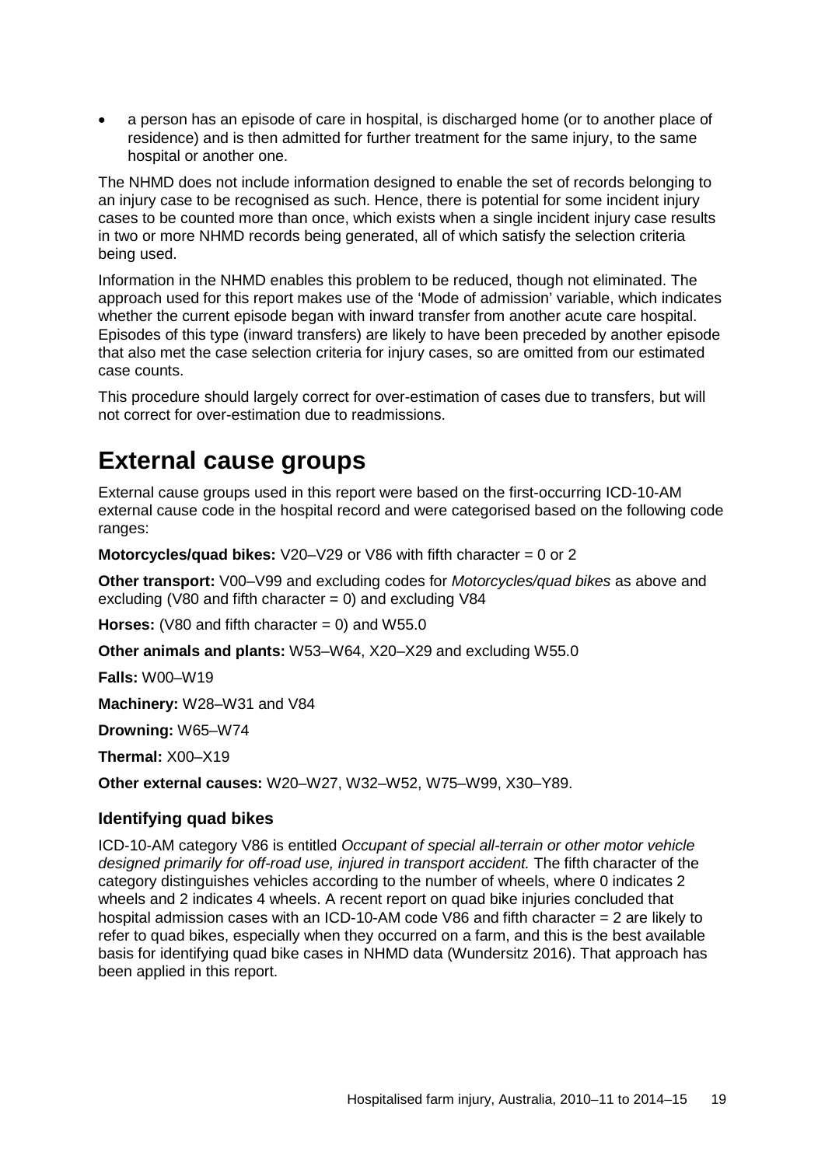• a person has an episode of care in hospital, is discharged home (or to another place of residence) and is then admitted for further treatment for the same injury, to the same hospital or another one.

The NHMD does not include information designed to enable the set of records belonging to an injury case to be recognised as such. Hence, there is potential for some incident injury cases to be counted more than once, which exists when a single incident injury case results in two or more NHMD records being generated, all of which satisfy the selection criteria being used.

Information in the NHMD enables this problem to be reduced, though not eliminated. The approach used for this report makes use of the 'Mode of admission' variable, which indicates whether the current episode began with inward transfer from another acute care hospital. Episodes of this type (inward transfers) are likely to have been preceded by another episode that also met the case selection criteria for injury cases, so are omitted from our estimated case counts.

This procedure should largely correct for over-estimation of cases due to transfers, but will not correct for over-estimation due to readmissions.

#### **External cause groups**

External cause groups used in this report were based on the first-occurring ICD-10-AM external cause code in the hospital record and were categorised based on the following code ranges:

**Motorcycles/quad bikes:** V20–V29 or V86 with fifth character = 0 or 2

**Other transport:** V00–V99 and excluding codes for *Motorcycles/quad bikes* as above and excluding (V80 and fifth character  $= 0$ ) and excluding V84

**Horses:** (V80 and fifth character  $= 0$ ) and W55.0

**Other animals and plants:** W53–W64, X20–X29 and excluding W55.0

**Falls:** W00–W19

**Machinery:** W28–W31 and V84

**Drowning:** W65–W74

**Thermal:** X00–X19

**Other external causes:** W20–W27, W32–W52, W75–W99, X30–Y89.

#### **Identifying quad bikes**

ICD-10-AM category V86 is entitled *Occupant of special all-terrain or other motor vehicle designed primarily for off-road use, injured in transport accident.* The fifth character of the category distinguishes vehicles according to the number of wheels, where 0 indicates 2 wheels and 2 indicates 4 wheels. A recent report on quad bike injuries concluded that hospital admission cases with an ICD-10-AM code V86 and fifth character  $= 2$  are likely to refer to quad bikes, especially when they occurred on a farm, and this is the best available basis for identifying quad bike cases in NHMD data (Wundersitz 2016). That approach has been applied in this report.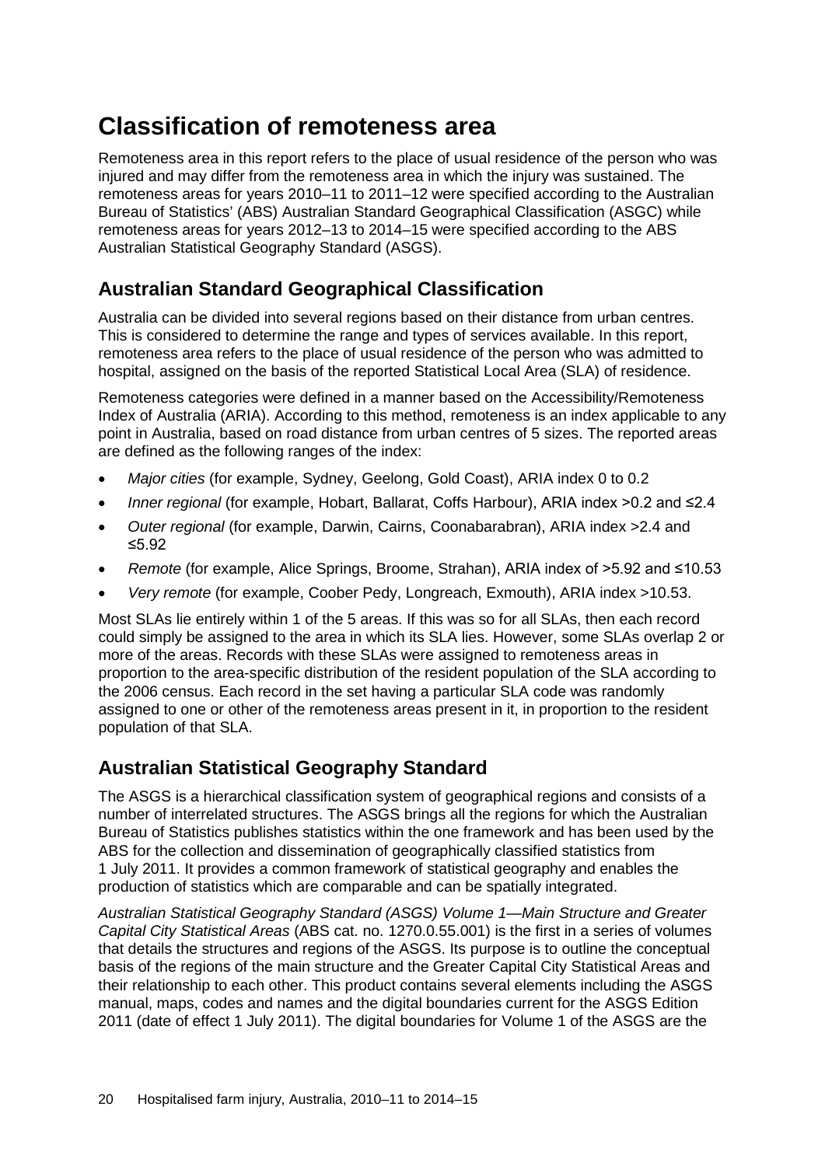### **Classification of remoteness area**

Remoteness area in this report refers to the place of usual residence of the person who was injured and may differ from the remoteness area in which the injury was sustained. The remoteness areas for years 2010–11 to 2011–12 were specified according to the Australian Bureau of Statistics' (ABS) Australian Standard Geographical Classification (ASGC) while remoteness areas for years 2012–13 to 2014–15 were specified according to the ABS Australian Statistical Geography Standard (ASGS).

#### **Australian Standard Geographical Classification**

Australia can be divided into several regions based on their distance from urban centres. This is considered to determine the range and types of services available. In this report, remoteness area refers to the place of usual residence of the person who was admitted to hospital, assigned on the basis of the reported Statistical Local Area (SLA) of residence.

Remoteness categories were defined in a manner based on the Accessibility/Remoteness Index of Australia (ARIA). According to this method, remoteness is an index applicable to any point in Australia, based on road distance from urban centres of 5 sizes. The reported areas are defined as the following ranges of the index:

- *Major cities* (for example, Sydney, Geelong, Gold Coast), ARIA index 0 to 0.2
- *Inner regional* (for example, Hobart, Ballarat, Coffs Harbour), ARIA index >0.2 and ≤2.4
- *Outer regional* (for example, Darwin, Cairns, Coonabarabran), ARIA index >2.4 and ≤5.92
- *Remote* (for example, Alice Springs, Broome, Strahan), ARIA index of >5.92 and ≤10.53
- *Very remote* (for example, Coober Pedy, Longreach, Exmouth), ARIA index >10.53.

Most SLAs lie entirely within 1 of the 5 areas. If this was so for all SLAs, then each record could simply be assigned to the area in which its SLA lies. However, some SLAs overlap 2 or more of the areas. Records with these SLAs were assigned to remoteness areas in proportion to the area-specific distribution of the resident population of the SLA according to the 2006 census. Each record in the set having a particular SLA code was randomly assigned to one or other of the remoteness areas present in it, in proportion to the resident population of that SLA.

#### **Australian Statistical Geography Standard**

The ASGS is a hierarchical classification system of geographical regions and consists of a number of interrelated structures. The ASGS brings all the regions for which the Australian Bureau of Statistics publishes statistics within the one framework and has been used by the ABS for the collection and dissemination of geographically classified statistics from 1 July 2011. It provides a common framework of statistical geography and enables the production of statistics which are comparable and can be spatially integrated.

*Australian Statistical Geography Standard (ASGS) Volume 1—Main Structure and Greater Capital City Statistical Areas* (ABS cat. no. 1270.0.55.001) is the first in a series of volumes that details the structures and regions of the ASGS. Its purpose is to outline the conceptual basis of the regions of the main structure and the Greater Capital City Statistical Areas and their relationship to each other. This product contains several elements including the ASGS manual, maps, codes and names and the digital boundaries current for the ASGS Edition 2011 (date of effect 1 July 2011). The digital boundaries for Volume 1 of the ASGS are the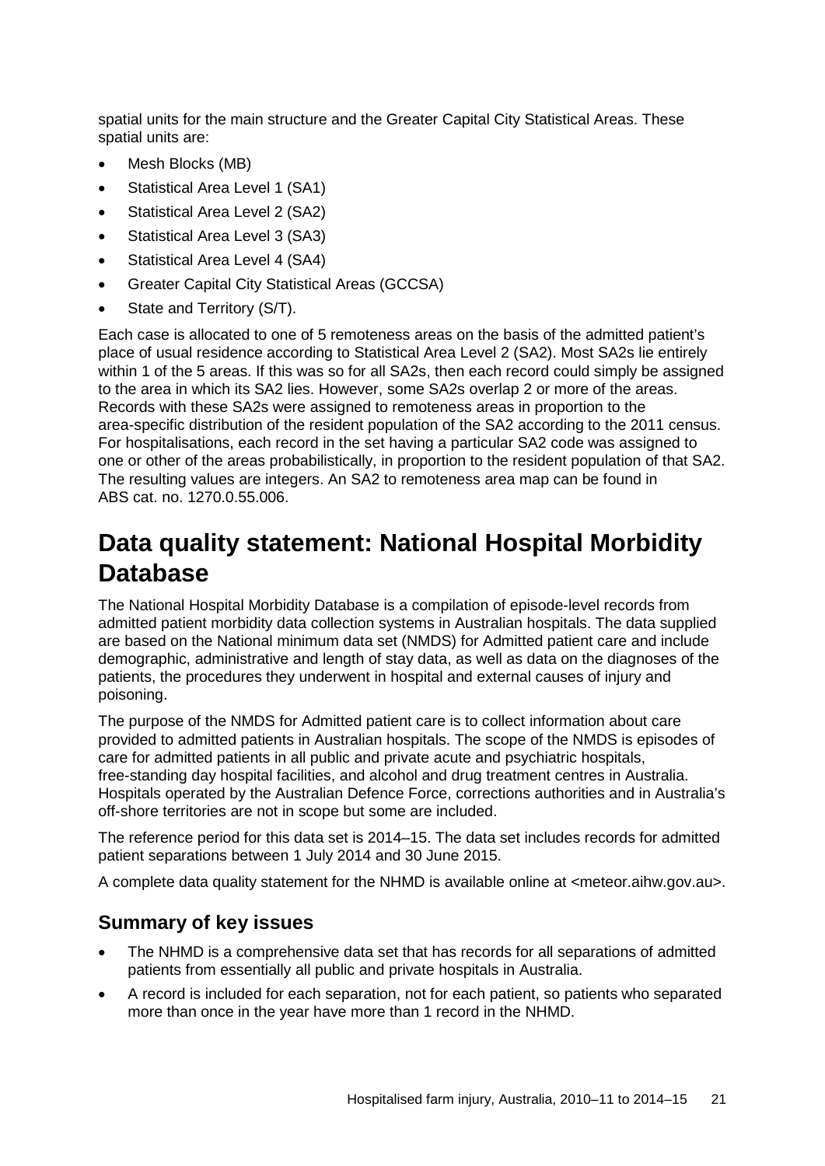spatial units for the main structure and the Greater Capital City Statistical Areas. These spatial units are:

- Mesh Blocks (MB)
- Statistical Area Level 1 (SA1)
- Statistical Area Level 2 (SA2)
- Statistical Area Level 3 (SA3)
- Statistical Area Level 4 (SA4)
- Greater Capital City Statistical Areas (GCCSA)
- State and Territory (S/T).

Each case is allocated to one of 5 remoteness areas on the basis of the admitted patient's place of usual residence according to Statistical Area Level 2 (SA2). Most SA2s lie entirely within 1 of the 5 areas. If this was so for all SA2s, then each record could simply be assigned to the area in which its SA2 lies. However, some SA2s overlap 2 or more of the areas. Records with these SA2s were assigned to remoteness areas in proportion to the area-specific distribution of the resident population of the SA2 according to the 2011 census. For hospitalisations, each record in the set having a particular SA2 code was assigned to one or other of the areas probabilistically, in proportion to the resident population of that SA2. The resulting values are integers. An SA2 to remoteness area map can be found in ABS cat. no. 1270.0.55.006.

#### **Data quality statement: National Hospital Morbidity Database**

The National Hospital Morbidity Database is a compilation of episode-level records from admitted patient morbidity data collection systems in Australian hospitals. The data supplied are based on the National minimum data set (NMDS) for Admitted patient care and include demographic, administrative and length of stay data, as well as data on the diagnoses of the patients, the procedures they underwent in hospital and external causes of injury and poisoning.

The purpose of the NMDS for Admitted patient care is to collect information about care provided to admitted patients in Australian hospitals. The scope of the NMDS is episodes of care for admitted patients in all public and private acute and psychiatric hospitals, free-standing day hospital facilities, and alcohol and drug treatment centres in Australia. Hospitals operated by the Australian Defence Force, corrections authorities and in Australia's off-shore territories are not in scope but some are included.

The reference period for this data set is 2014–15. The data set includes records for admitted patient separations between 1 July 2014 and 30 June 2015.

A complete data quality statement for the NHMD is available online at <meteor.aihw.gov.au>.

#### **Summary of key issues**

- The NHMD is a comprehensive data set that has records for all separations of admitted patients from essentially all public and private hospitals in Australia.
- A record is included for each separation, not for each patient, so patients who separated more than once in the year have more than 1 record in the NHMD.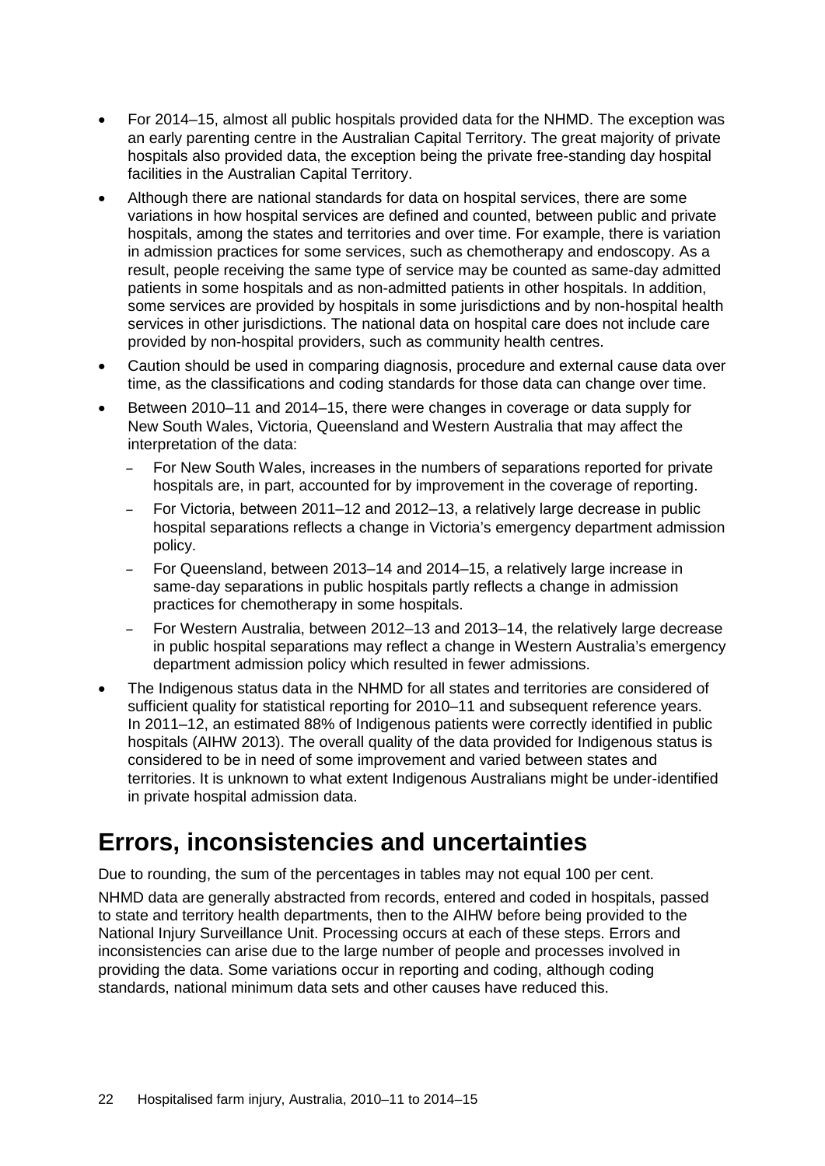- For 2014–15, almost all public hospitals provided data for the NHMD. The exception was an early parenting centre in the Australian Capital Territory. The great majority of private hospitals also provided data, the exception being the private free-standing day hospital facilities in the Australian Capital Territory.
- Although there are national standards for data on hospital services, there are some variations in how hospital services are defined and counted, between public and private hospitals, among the states and territories and over time. For example, there is variation in admission practices for some services, such as chemotherapy and endoscopy. As a result, people receiving the same type of service may be counted as same-day admitted patients in some hospitals and as non-admitted patients in other hospitals. In addition, some services are provided by hospitals in some jurisdictions and by non-hospital health services in other jurisdictions. The national data on hospital care does not include care provided by non-hospital providers, such as community health centres.
- Caution should be used in comparing diagnosis, procedure and external cause data over time, as the classifications and coding standards for those data can change over time.
- Between 2010–11 and 2014–15, there were changes in coverage or data supply for New South Wales, Victoria, Queensland and Western Australia that may affect the interpretation of the data:
	- For New South Wales, increases in the numbers of separations reported for private hospitals are, in part, accounted for by improvement in the coverage of reporting.
	- For Victoria, between 2011–12 and 2012–13, a relatively large decrease in public hospital separations reflects a change in Victoria's emergency department admission policy.
	- For Queensland, between 2013–14 and 2014–15, a relatively large increase in same-day separations in public hospitals partly reflects a change in admission practices for chemotherapy in some hospitals.
	- For Western Australia, between 2012–13 and 2013–14, the relatively large decrease in public hospital separations may reflect a change in Western Australia's emergency department admission policy which resulted in fewer admissions.
- The Indigenous status data in the NHMD for all states and territories are considered of sufficient quality for statistical reporting for 2010–11 and subsequent reference years. In 2011–12, an estimated 88% of Indigenous patients were correctly identified in public hospitals (AIHW 2013). The overall quality of the data provided for Indigenous status is considered to be in need of some improvement and varied between states and territories. It is unknown to what extent Indigenous Australians might be under-identified in private hospital admission data.

### **Errors, inconsistencies and uncertainties**

Due to rounding, the sum of the percentages in tables may not equal 100 per cent.

NHMD data are generally abstracted from records, entered and coded in hospitals, passed to state and territory health departments, then to the AIHW before being provided to the National Injury Surveillance Unit. Processing occurs at each of these steps. Errors and inconsistencies can arise due to the large number of people and processes involved in providing the data. Some variations occur in reporting and coding, although coding standards, national minimum data sets and other causes have reduced this.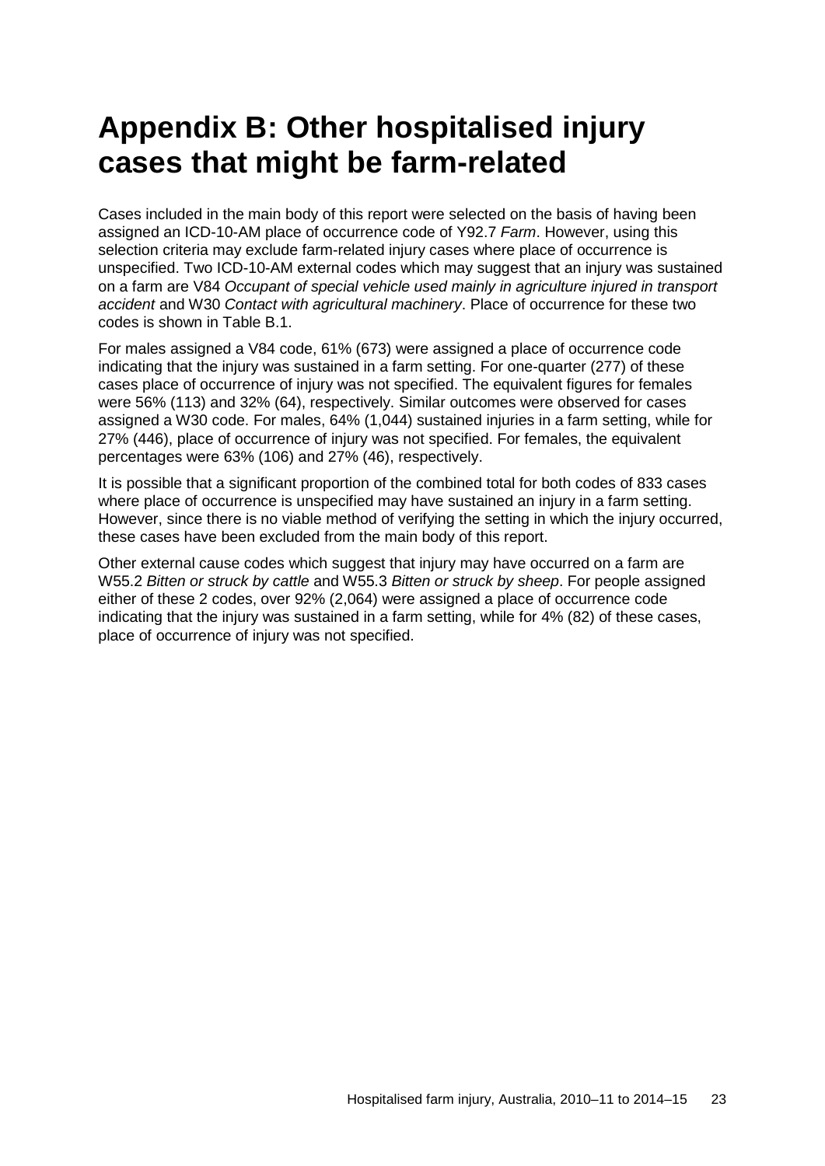# <span id="page-30-0"></span>**Appendix B: Other hospitalised injury cases that might be farm-related**

Cases included in the main body of this report were selected on the basis of having been assigned an ICD-10-AM place of occurrence code of Y92.7 *Farm*. However, using this selection criteria may exclude farm-related injury cases where place of occurrence is unspecified. Two ICD-10-AM external codes which may suggest that an injury was sustained on a farm are V84 *Occupant of special vehicle used mainly in agriculture injured in transport accident* and W30 *Contact with agricultural machinery*. Place of occurrence for these two codes is shown in Table B.1.

For males assigned a V84 code, 61% (673) were assigned a place of occurrence code indicating that the injury was sustained in a farm setting. For one-quarter (277) of these cases place of occurrence of injury was not specified. The equivalent figures for females were 56% (113) and 32% (64), respectively. Similar outcomes were observed for cases assigned a W30 code. For males, 64% (1,044) sustained injuries in a farm setting, while for 27% (446), place of occurrence of injury was not specified. For females, the equivalent percentages were 63% (106) and 27% (46), respectively.

It is possible that a significant proportion of the combined total for both codes of 833 cases where place of occurrence is unspecified may have sustained an injury in a farm setting. However, since there is no viable method of verifying the setting in which the injury occurred, these cases have been excluded from the main body of this report.

Other external cause codes which suggest that injury may have occurred on a farm are W55.2 *Bitten or struck by cattle* and W55.3 *Bitten or struck by sheep*. For people assigned either of these 2 codes, over 92% (2,064) were assigned a place of occurrence code indicating that the injury was sustained in a farm setting, while for 4% (82) of these cases, place of occurrence of injury was not specified.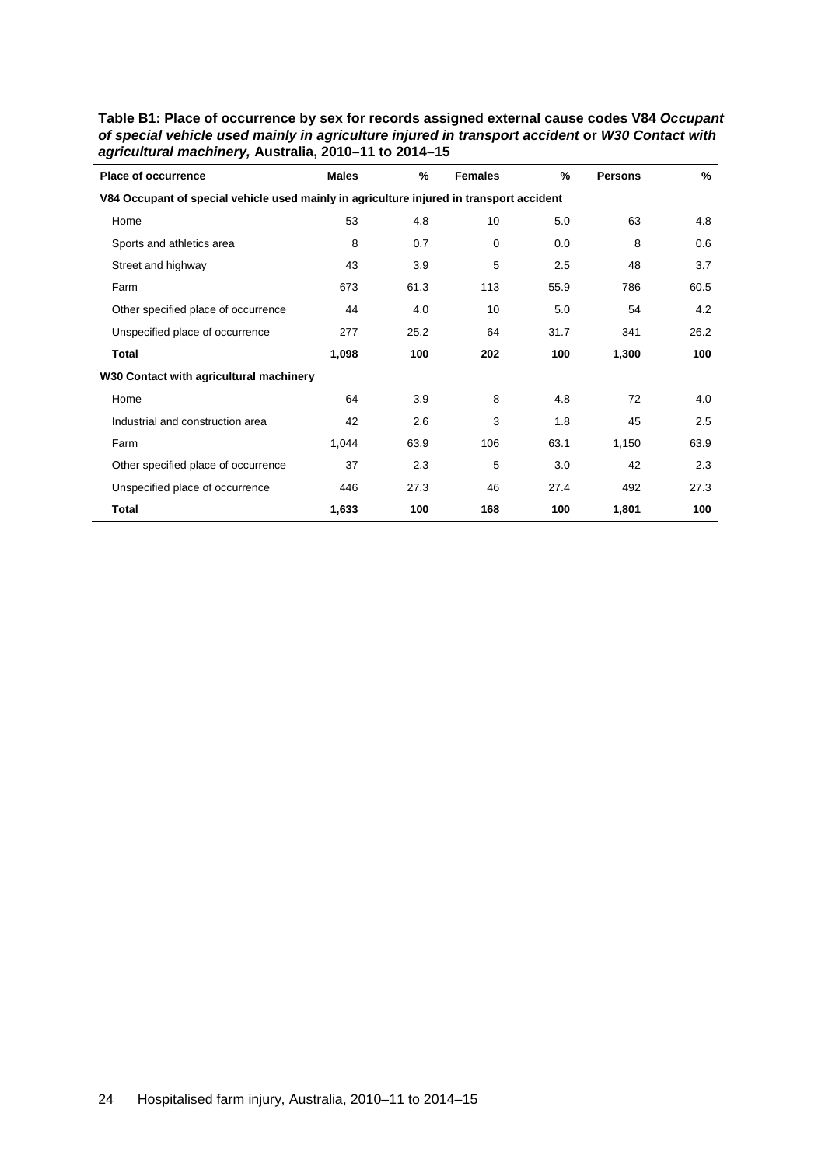| <b>Place of occurrence</b>                                                               | <b>Males</b> | %    | <b>Females</b> | %    | <b>Persons</b> | %    |
|------------------------------------------------------------------------------------------|--------------|------|----------------|------|----------------|------|
| V84 Occupant of special vehicle used mainly in agriculture injured in transport accident |              |      |                |      |                |      |
| Home                                                                                     | 53           | 4.8  | 10             | 5.0  | 63             | 4.8  |
| Sports and athletics area                                                                | 8            | 0.7  | 0              | 0.0  | 8              | 0.6  |
| Street and highway                                                                       | 43           | 3.9  | 5              | 2.5  | 48             | 3.7  |
| Farm                                                                                     | 673          | 61.3 | 113            | 55.9 | 786            | 60.5 |
| Other specified place of occurrence                                                      | 44           | 4.0  | 10             | 5.0  | 54             | 4.2  |
| Unspecified place of occurrence                                                          | 277          | 25.2 | 64             | 31.7 | 341            | 26.2 |
| Total                                                                                    | 1,098        | 100  | 202            | 100  | 1,300          | 100  |
| W30 Contact with agricultural machinery                                                  |              |      |                |      |                |      |
| Home                                                                                     | 64           | 3.9  | 8              | 4.8  | 72             | 4.0  |
| Industrial and construction area                                                         | 42           | 2.6  | 3              | 1.8  | 45             | 2.5  |
| Farm                                                                                     | 1,044        | 63.9 | 106            | 63.1 | 1,150          | 63.9 |
| Other specified place of occurrence                                                      | 37           | 2.3  | 5              | 3.0  | 42             | 2.3  |
| Unspecified place of occurrence                                                          | 446          | 27.3 | 46             | 27.4 | 492            | 27.3 |
| Total                                                                                    | 1,633        | 100  | 168            | 100  | 1,801          | 100  |

<span id="page-31-0"></span>**Table B1: Place of occurrence by sex for records assigned external cause codes V84** *Occupant of special vehicle used mainly in agriculture injured in transport accident* **or** *W30 Contact with agricultural machinery,* **Australia, 2010–11 to 2014–15**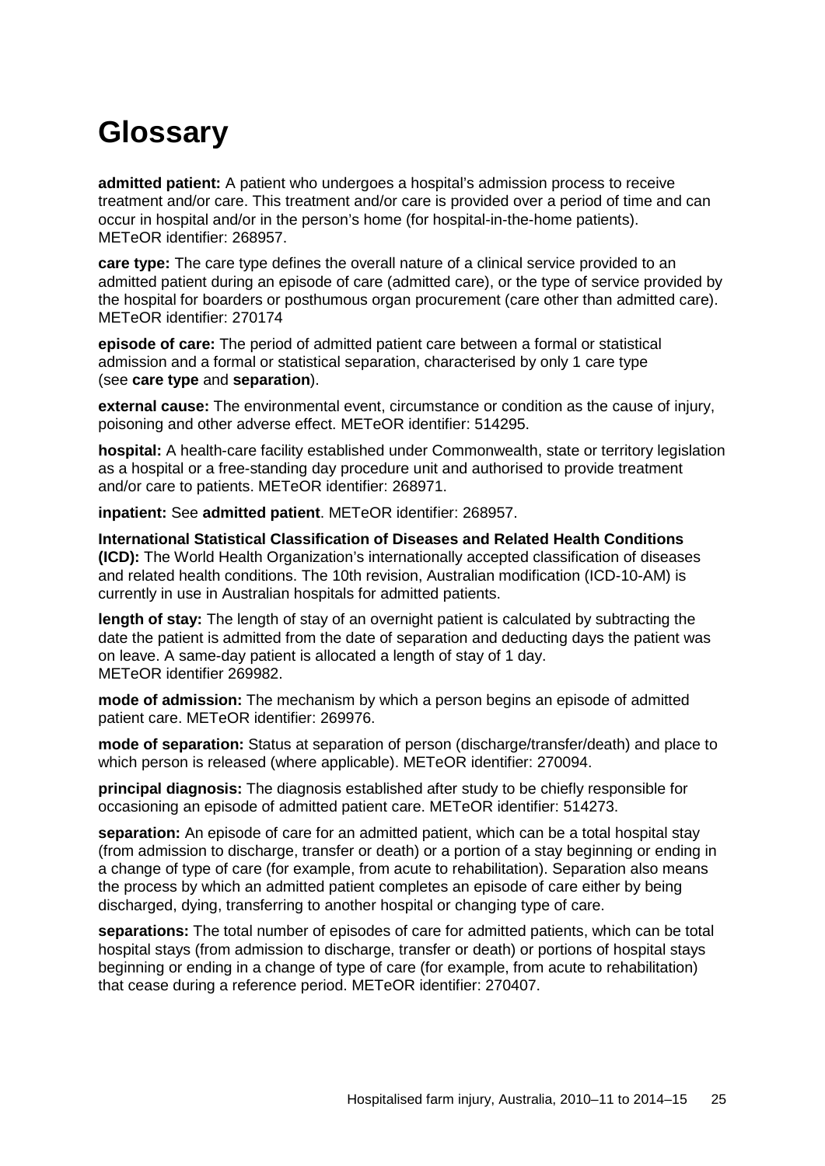# <span id="page-32-0"></span>**Glossary**

**admitted patient:** A patient who undergoes a hospital's admission process to receive treatment and/or care. This treatment and/or care is provided over a period of time and can occur in hospital and/or in the person's home (for hospital-in-the-home patients). METeOR identifier: 268957.

**care type:** The care type defines the overall nature of a clinical service provided to an admitted patient during an episode of care (admitted care), or the type of service provided by the hospital for boarders or posthumous organ procurement (care other than admitted care). METeOR identifier: 270174

**episode of care:** The period of admitted patient care between a formal or statistical admission and a formal or statistical separation, characterised by only 1 care type (see **care type** and **separation**).

**external cause:** The environmental event, circumstance or condition as the cause of injury, poisoning and other adverse effect. METeOR identifier: 514295.

**hospital:** A health-care facility established under Commonwealth, state or territory legislation as a hospital or a free-standing day procedure unit and authorised to provide treatment and/or care to patients. METeOR identifier: 268971.

**inpatient:** See **admitted patient**. METeOR identifier: 268957.

**International Statistical Classification of Diseases and Related Health Conditions (ICD):** The World Health Organization's internationally accepted classification of diseases and related health conditions. The 10th revision, Australian modification (ICD-10-AM) is currently in use in Australian hospitals for admitted patients.

**length of stay:** The length of stay of an overnight patient is calculated by subtracting the date the patient is admitted from the date of separation and deducting days the patient was on leave. A same-day patient is allocated a length of stay of 1 day. METeOR identifier 269982.

**mode of admission:** The mechanism by which a person begins an episode of admitted patient care. METeOR identifier: 269976.

**mode of separation:** Status at separation of person (discharge/transfer/death) and place to which person is released (where applicable). METeOR identifier: 270094.

**principal diagnosis:** The diagnosis established after study to be chiefly responsible for occasioning an episode of admitted patient care. METeOR identifier: 514273.

**separation:** An episode of care for an admitted patient, which can be a total hospital stay (from admission to discharge, transfer or death) or a portion of a stay beginning or ending in a change of type of care (for example, from acute to rehabilitation). Separation also means the process by which an admitted patient completes an episode of care either by being discharged, dying, transferring to another hospital or changing type of care.

**separations:** The total number of episodes of care for admitted patients, which can be total hospital stays (from admission to discharge, transfer or death) or portions of hospital stays beginning or ending in a change of type of care (for example, from acute to rehabilitation) that cease during a reference period. METeOR identifier: 270407.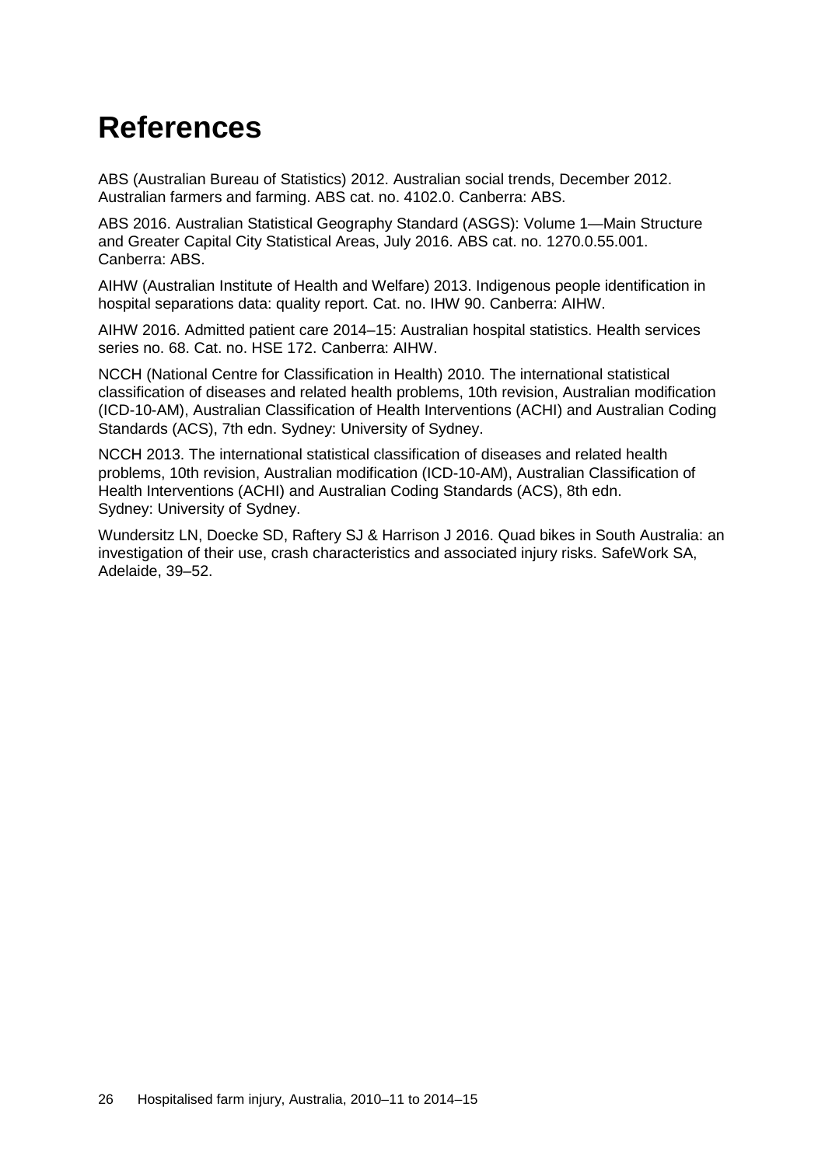# <span id="page-33-0"></span>**References**

ABS (Australian Bureau of Statistics) 2012. Australian social trends, December 2012. Australian farmers and farming. ABS cat. no. 4102.0. Canberra: ABS.

ABS 2016. Australian Statistical Geography Standard (ASGS): Volume 1—Main Structure and Greater Capital City Statistical Areas, July 2016. ABS cat. no. 1270.0.55.001. Canberra: ABS.

AIHW (Australian Institute of Health and Welfare) 2013. Indigenous people identification in hospital separations data: quality report. Cat. no. IHW 90. Canberra: AIHW.

AIHW 2016. Admitted patient care 2014–15: Australian hospital statistics. Health services series no. 68. Cat. no. HSE 172. Canberra: AIHW.

NCCH (National Centre for Classification in Health) 2010. The international statistical classification of diseases and related health problems, 10th revision, Australian modification (ICD-10-AM), Australian Classification of Health Interventions (ACHI) and Australian Coding Standards (ACS), 7th edn. Sydney: University of Sydney.

NCCH 2013. The international statistical classification of diseases and related health problems, 10th revision, Australian modification (ICD-10-AM), Australian Classification of Health Interventions (ACHI) and Australian Coding Standards (ACS), 8th edn. Sydney: University of Sydney.

Wundersitz LN, Doecke SD, Raftery SJ & Harrison J 2016. Quad bikes in South Australia: an investigation of their use, crash characteristics and associated injury risks. SafeWork SA, Adelaide, 39–52.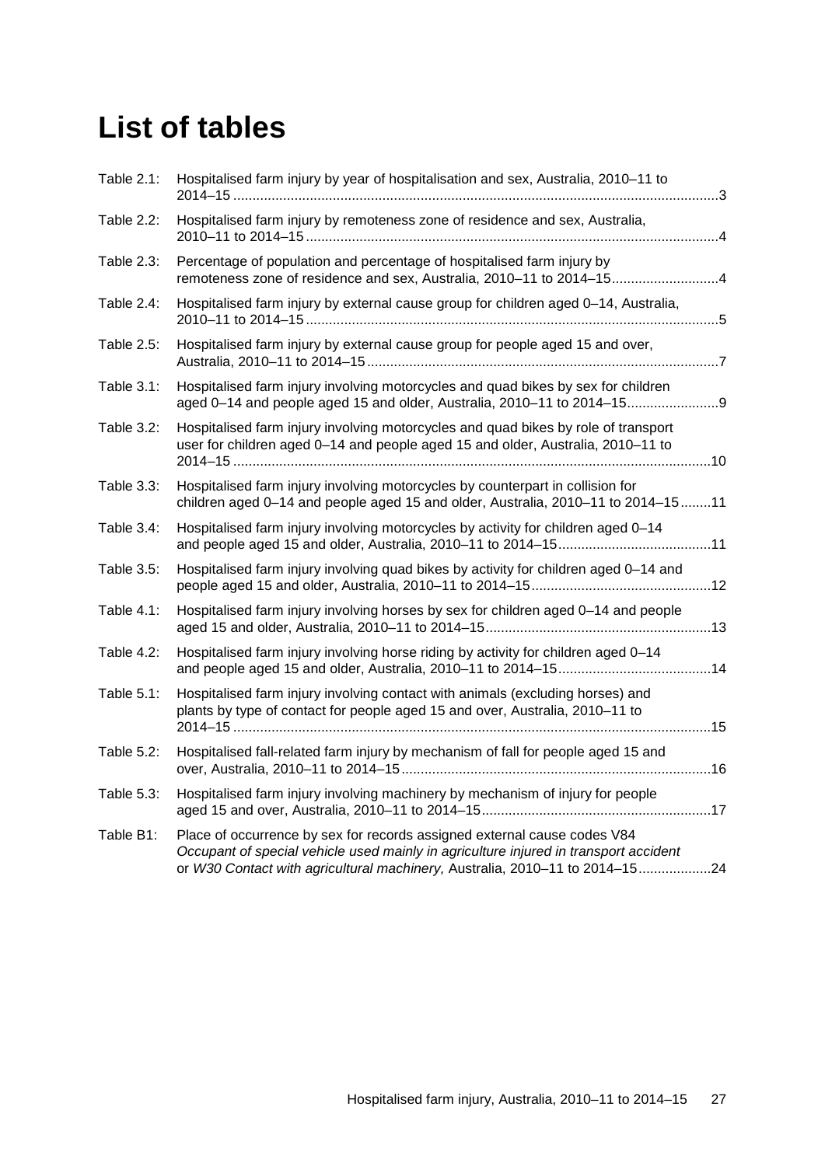# <span id="page-34-0"></span>**List of tables**

| Table 2.1: | Hospitalised farm injury by year of hospitalisation and sex, Australia, 2010-11 to                                                                                                                                                              |  |
|------------|-------------------------------------------------------------------------------------------------------------------------------------------------------------------------------------------------------------------------------------------------|--|
| Table 2.2: | Hospitalised farm injury by remoteness zone of residence and sex, Australia,                                                                                                                                                                    |  |
| Table 2.3: | Percentage of population and percentage of hospitalised farm injury by<br>remoteness zone of residence and sex, Australia, 2010-11 to 2014-154                                                                                                  |  |
| Table 2.4: | Hospitalised farm injury by external cause group for children aged 0-14, Australia,                                                                                                                                                             |  |
| Table 2.5: | Hospitalised farm injury by external cause group for people aged 15 and over,                                                                                                                                                                   |  |
| Table 3.1: | Hospitalised farm injury involving motorcycles and quad bikes by sex for children<br>aged 0-14 and people aged 15 and older, Australia, 2010-11 to 2014-15                                                                                      |  |
| Table 3.2: | Hospitalised farm injury involving motorcycles and quad bikes by role of transport<br>user for children aged 0-14 and people aged 15 and older, Australia, 2010-11 to                                                                           |  |
| Table 3.3: | Hospitalised farm injury involving motorcycles by counterpart in collision for<br>children aged 0-14 and people aged 15 and older, Australia, 2010-11 to 2014-1511                                                                              |  |
| Table 3.4: | Hospitalised farm injury involving motorcycles by activity for children aged 0-14                                                                                                                                                               |  |
| Table 3.5: | Hospitalised farm injury involving quad bikes by activity for children aged 0-14 and                                                                                                                                                            |  |
| Table 4.1: | Hospitalised farm injury involving horses by sex for children aged 0-14 and people                                                                                                                                                              |  |
| Table 4.2: | Hospitalised farm injury involving horse riding by activity for children aged 0-14                                                                                                                                                              |  |
| Table 5.1: | Hospitalised farm injury involving contact with animals (excluding horses) and<br>plants by type of contact for people aged 15 and over, Australia, 2010-11 to                                                                                  |  |
| Table 5.2: | Hospitalised fall-related farm injury by mechanism of fall for people aged 15 and                                                                                                                                                               |  |
| Table 5.3: | Hospitalised farm injury involving machinery by mechanism of injury for people                                                                                                                                                                  |  |
| Table B1:  | Place of occurrence by sex for records assigned external cause codes V84<br>Occupant of special vehicle used mainly in agriculture injured in transport accident<br>or W30 Contact with agricultural machinery, Australia, 2010-11 to 2014-1524 |  |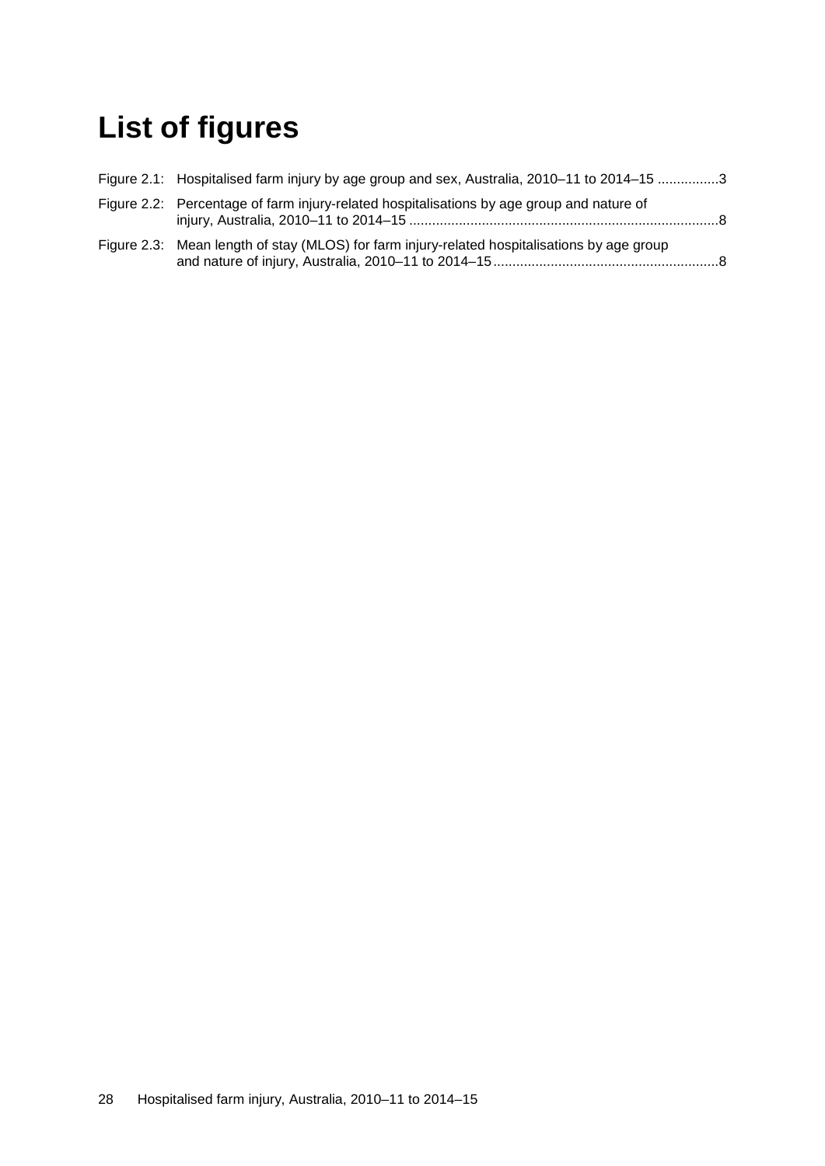# <span id="page-35-0"></span>**List of figures**

| Figure 2.1: Hospitalised farm injury by age group and sex, Australia, 2010–11 to 2014–15 3   |  |
|----------------------------------------------------------------------------------------------|--|
| Figure 2.2: Percentage of farm injury-related hospitalisations by age group and nature of    |  |
| Figure 2.3: Mean length of stay (MLOS) for farm injury-related hospitalisations by age group |  |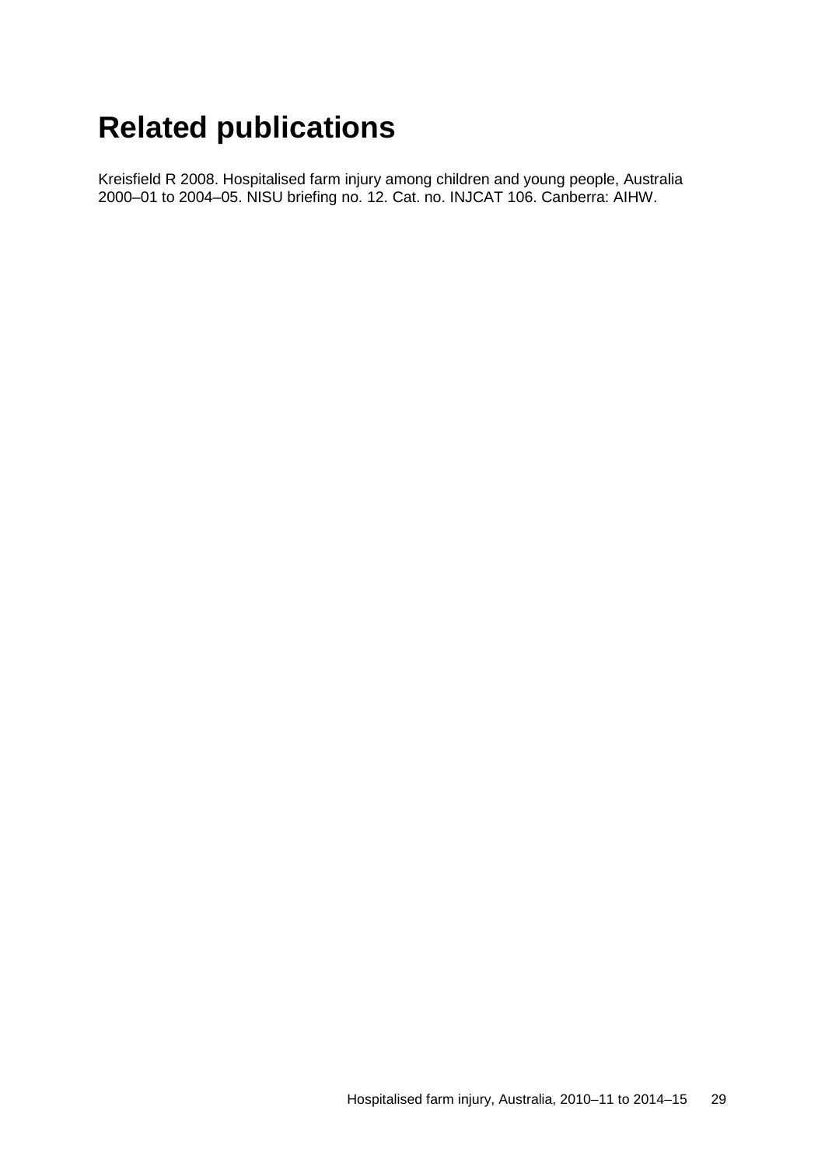# <span id="page-36-0"></span>**Related publications**

Kreisfield R 2008. Hospitalised farm injury among children and young people, Australia 2000–01 to 2004–05. NISU briefing no. 12. Cat. no. INJCAT 106. Canberra: AIHW.